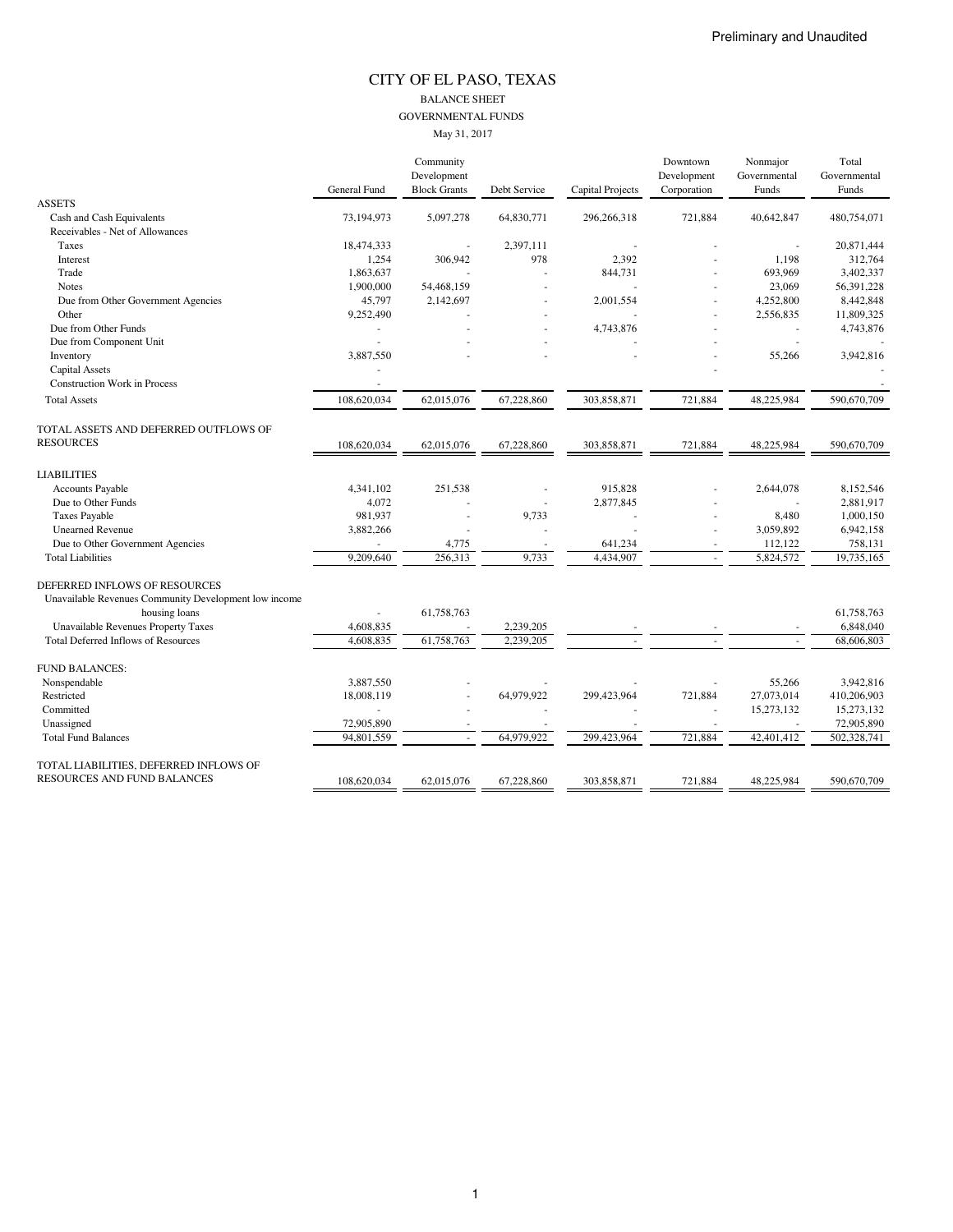#### CITY OF EL PASO, TEXAS BALANCE SHEET GOVERNMENTAL FUNDS May 31, 2017

|                                                                                        |                     | Community           |              |                         | Downtown    | Nonmajor     | Total        |
|----------------------------------------------------------------------------------------|---------------------|---------------------|--------------|-------------------------|-------------|--------------|--------------|
|                                                                                        |                     | Development         |              |                         | Development | Governmental | Governmental |
|                                                                                        | <b>General Fund</b> | <b>Block Grants</b> | Debt Service | <b>Capital Projects</b> | Corporation | Funds        | Funds        |
| <b>ASSETS</b>                                                                          |                     |                     |              |                         |             |              |              |
| Cash and Cash Equivalents                                                              | 73,194,973          | 5,097,278           | 64,830,771   | 296,266,318             | 721,884     | 40,642,847   | 480,754,071  |
| Receivables - Net of Allowances                                                        |                     |                     |              |                         |             |              |              |
| Taxes                                                                                  | 18,474,333          |                     | 2,397,111    |                         |             | ÷,           | 20,871,444   |
| Interest                                                                               | 1,254               | 306,942             | 978          | 2,392                   |             | 1,198        | 312,764      |
| Trade                                                                                  | 1,863,637           |                     |              | 844,731                 |             | 693,969      | 3,402,337    |
| <b>Notes</b>                                                                           | 1,900,000           | 54,468,159          |              |                         |             | 23,069       | 56,391,228   |
| Due from Other Government Agencies                                                     | 45,797              | 2,142,697           |              | 2,001,554               |             | 4,252,800    | 8,442,848    |
| Other                                                                                  | 9,252,490           |                     |              |                         |             | 2,556,835    | 11,809,325   |
| Due from Other Funds                                                                   |                     |                     |              | 4,743,876               |             | ÷,           | 4,743,876    |
| Due from Component Unit                                                                |                     |                     |              |                         |             |              |              |
| Inventory                                                                              | 3,887,550           |                     |              |                         |             | 55,266       | 3,942,816    |
| Capital Assets                                                                         |                     |                     |              |                         |             |              |              |
| <b>Construction Work in Process</b>                                                    |                     |                     |              |                         |             |              |              |
| <b>Total Assets</b>                                                                    | 108,620,034         | 62,015,076          | 67,228,860   | 303,858,871             | 721,884     | 48,225,984   | 590,670,709  |
| TOTAL ASSETS AND DEFERRED OUTFLOWS OF                                                  |                     |                     |              |                         |             |              |              |
| <b>RESOURCES</b>                                                                       | 108,620,034         | 62,015,076          | 67,228,860   | 303,858,871             | 721,884     | 48,225,984   | 590,670,709  |
| <b>LIABILITIES</b>                                                                     |                     |                     |              |                         |             |              |              |
| <b>Accounts Payable</b>                                                                | 4,341,102           | 251,538             |              | 915,828                 |             | 2,644,078    | 8,152,546    |
| Due to Other Funds                                                                     | 4,072               |                     |              | 2,877,845               |             |              | 2.881.917    |
| Taxes Payable                                                                          | 981,937             |                     | 9,733        |                         |             | 8,480        | 1,000,150    |
| <b>Unearned Revenue</b>                                                                | 3,882,266           |                     |              |                         |             | 3,059,892    | 6,942,158    |
| Due to Other Government Agencies                                                       |                     | 4,775               |              | 641,234                 |             | 112,122      | 758,131      |
| <b>Total Liabilities</b>                                                               | 9,209,640           | 256,313             | 9,733        | 4,434,907               |             | 5,824,572    | 19,735,165   |
| DEFERRED INFLOWS OF RESOURCES<br>Unavailable Revenues Community Development low income |                     |                     |              |                         |             |              |              |
| housing loans                                                                          |                     | 61,758,763          |              |                         |             |              | 61,758,763   |
| Unavailable Revenues Property Taxes                                                    | 4,608,835           |                     | 2,239,205    |                         |             |              | 6,848,040    |
| <b>Total Deferred Inflows of Resources</b>                                             | 4,608,835           | 61,758,763          | 2,239,205    |                         |             |              | 68,606,803   |
| FUND BALANCES:                                                                         |                     |                     |              |                         |             |              |              |
| Nonspendable                                                                           | 3.887.550           |                     |              |                         |             | 55,266       | 3.942.816    |
| Restricted                                                                             | 18,008,119          |                     | 64,979,922   | 299,423,964             | 721,884     | 27,073,014   | 410,206,903  |
| Committed                                                                              |                     |                     |              |                         | $\sim$      | 15,273,132   | 15,273,132   |
| Unassigned                                                                             | 72,905,890          |                     |              |                         |             |              | 72,905,890   |
| <b>Total Fund Balances</b>                                                             | 94,801,559          | ×.                  | 64,979,922   | 299,423,964             | 721,884     | 42,401,412   | 502,328,741  |
| TOTAL LIABILITIES, DEFERRED INFLOWS OF                                                 |                     |                     |              |                         |             |              |              |
| RESOURCES AND FUND BALANCES                                                            | 108,620,034         | 62,015,076          | 67.228.860   | 303,858,871             | 721.884     | 48.225.984   | 590,670,709  |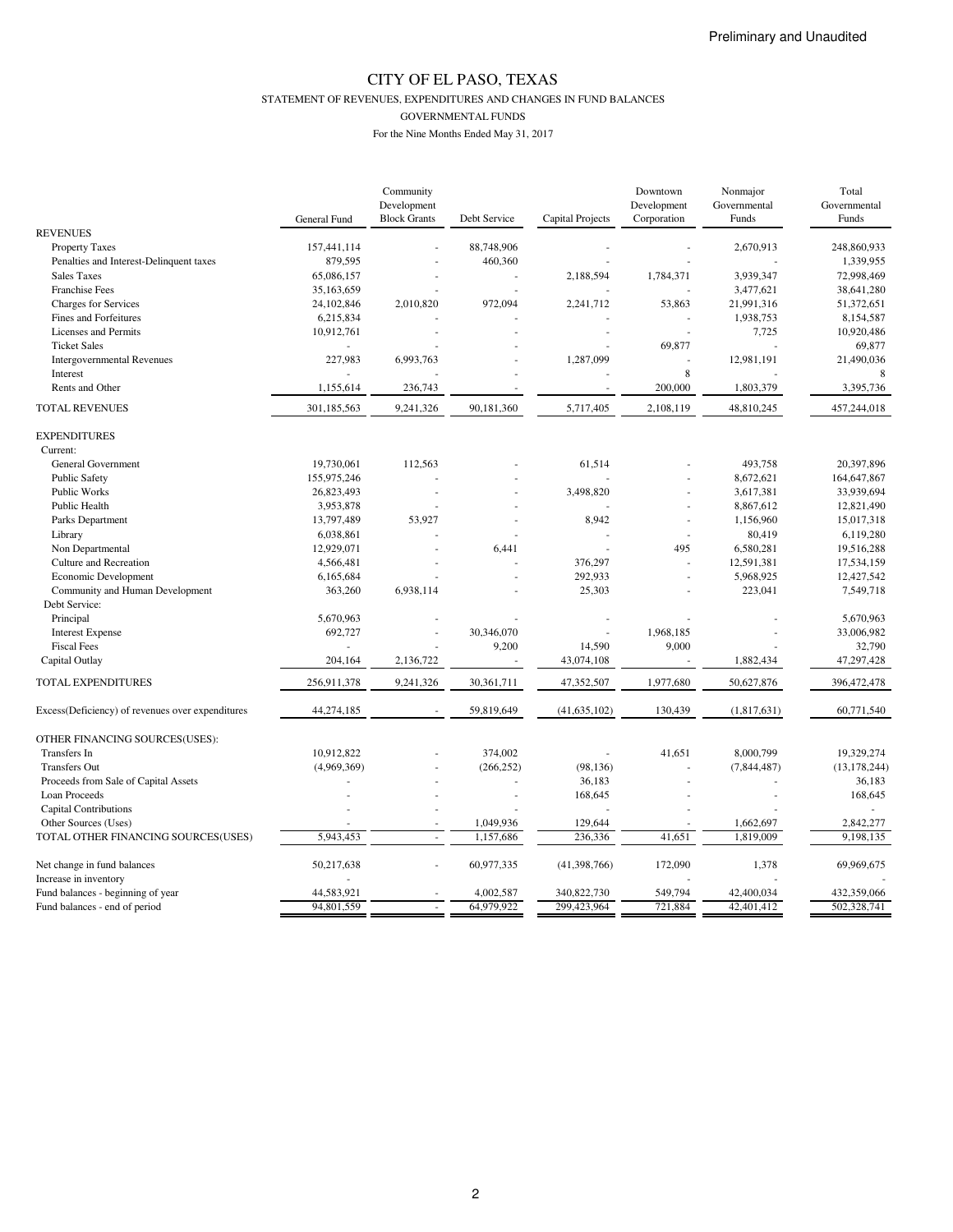STATEMENT OF REVENUES, EXPENDITURES AND CHANGES IN FUND BALANCES

GOVERNMENTAL FUNDS

|                                                  |              | Community                          |              |                      | Downtown                   | Nonmajor              | Total                 |
|--------------------------------------------------|--------------|------------------------------------|--------------|----------------------|----------------------------|-----------------------|-----------------------|
|                                                  |              | Development<br><b>Block Grants</b> | Debt Service | Capital Projects     | Development<br>Corporation | Governmental<br>Funds | Governmental<br>Funds |
| <b>REVENUES</b>                                  | General Fund |                                    |              |                      |                            |                       |                       |
| <b>Property Taxes</b>                            | 157,441,114  |                                    | 88,748,906   |                      |                            | 2,670,913             | 248,860,933           |
| Penalties and Interest-Delinquent taxes          | 879,595      |                                    | 460,360      |                      |                            |                       | 1,339,955             |
| <b>Sales Taxes</b>                               | 65,086,157   |                                    |              | 2,188,594            | 1,784,371                  | 3,939,347             | 72,998,469            |
| Franchise Fees                                   | 35,163,659   |                                    |              |                      |                            | 3,477,621             | 38,641,280            |
| Charges for Services                             | 24,102,846   | 2,010,820                          | 972,094      | 2,241,712            | 53,863                     | 21,991,316            | 51,372,651            |
| Fines and Forfeitures                            | 6,215,834    |                                    |              |                      |                            | 1,938,753             | 8,154,587             |
| Licenses and Permits                             |              |                                    |              | J.                   | J.                         |                       | 10,920,486            |
| <b>Ticket Sales</b>                              | 10,912,761   |                                    |              |                      | 69,877                     | 7,725                 | 69,877                |
|                                                  |              |                                    |              |                      |                            |                       |                       |
| <b>Intergovernmental Revenues</b>                | 227,983      | 6,993,763                          |              | 1,287,099            | 8                          | 12,981,191            | 21,490,036            |
| Interest                                         |              |                                    |              |                      |                            |                       |                       |
| Rents and Other                                  | 1,155,614    | 236,743                            |              |                      | 200,000                    | 1,803,379             | 3,395,736             |
| <b>TOTAL REVENUES</b>                            | 301,185,563  | 9,241,326                          | 90,181,360   | 5,717,405            | 2,108,119                  | 48,810,245            | 457,244,018           |
| <b>EXPENDITURES</b>                              |              |                                    |              |                      |                            |                       |                       |
| Current:                                         |              |                                    |              |                      |                            |                       |                       |
| General Government                               | 19,730,061   | 112,563                            |              | 61,514               |                            | 493,758               | 20,397,896            |
| <b>Public Safety</b>                             | 155,975,246  |                                    |              |                      |                            | 8,672,621             | 164,647,867           |
| Public Works                                     | 26,823,493   |                                    |              | 3,498,820            | ä,                         | 3,617,381             | 33,939,694            |
| Public Health                                    | 3,953,878    |                                    |              |                      |                            | 8,867,612             | 12,821,490            |
| Parks Department                                 | 13,797,489   | 53,927                             |              | 8,942                | ×,                         | 1,156,960             | 15,017,318            |
| Library                                          | 6,038,861    |                                    |              |                      |                            | 80,419                | 6,119,280             |
| Non Departmental                                 | 12,929,071   |                                    | 6,441        |                      | 495                        | 6,580,281             | 19,516,288            |
| Culture and Recreation                           | 4,566,481    |                                    |              | 376,297              | L.                         | 12,591,381            | 17,534,159            |
| Economic Development                             | 6,165,684    |                                    |              | 292,933              | ä,                         | 5,968,925             | 12,427,542            |
| Community and Human Development                  | 363,260      | 6,938,114                          |              | 25,303               |                            | 223,041               | 7,549,718             |
| Debt Service:                                    |              |                                    |              |                      |                            |                       |                       |
| Principal                                        | 5,670,963    |                                    |              | $\ddot{\phantom{a}}$ | ÷,                         |                       | 5.670.963             |
| <b>Interest Expense</b>                          | 692,727      | ÷,                                 | 30,346,070   | ÷,                   | 1,968,185                  |                       | 33,006,982            |
| <b>Fiscal Fees</b>                               |              |                                    | 9,200        | 14,590               | 9,000                      |                       | 32,790                |
| Capital Outlay                                   | 204,164      | 2,136,722                          |              | 43,074,108           |                            | 1,882,434             | 47,297,428            |
|                                                  |              |                                    |              |                      |                            |                       |                       |
| TOTAL EXPENDITURES                               | 256,911,378  | 9,241,326                          | 30,361,711   | 47,352,507           | 1,977,680                  | 50,627,876            | 396,472,478           |
| Excess(Deficiency) of revenues over expenditures | 44,274,185   |                                    | 59,819,649   | (41, 635, 102)       | 130,439                    | (1,817,631)           | 60,771,540            |
| OTHER FINANCING SOURCES(USES):                   |              |                                    |              |                      |                            |                       |                       |
| Transfers In                                     | 10,912,822   |                                    | 374,002      |                      | 41,651                     | 8,000,799             | 19,329,274            |
| <b>Transfers Out</b>                             | (4,969,369)  |                                    | (266, 252)   | (98, 136)            |                            | (7, 844, 487)         | (13, 178, 244)        |
| Proceeds from Sale of Capital Assets             |              |                                    | ÷,           | 36,183               | ä,                         |                       | 36,183                |
| Loan Proceeds                                    |              |                                    | ÷            | 168,645              |                            |                       | 168,645               |
| <b>Capital Contributions</b>                     |              |                                    |              |                      |                            |                       |                       |
| Other Sources (Uses)                             |              |                                    | 1,049,936    | 129,644              |                            | 1,662,697             | 2,842,277             |
| TOTAL OTHER FINANCING SOURCES(USES)              | 5,943,453    |                                    | 1,157,686    | 236,336              | 41,651                     | 1,819,009             | 9,198,135             |
| Net change in fund balances                      | 50,217,638   |                                    | 60,977,335   | (41,398,766)         | 172,090                    | 1,378                 | 69,969,675            |
| Increase in inventory                            |              |                                    |              |                      |                            |                       |                       |
| Fund balances - beginning of year                | 44,583,921   |                                    | 4,002,587    | 340,822,730          | 549.794                    | 42,400,034            | 432,359,066           |
| Fund balances - end of period                    | 94,801,559   |                                    | 64,979,922   | 299,423,964          | 721,884                    | 42,401,412            | 502,328,741           |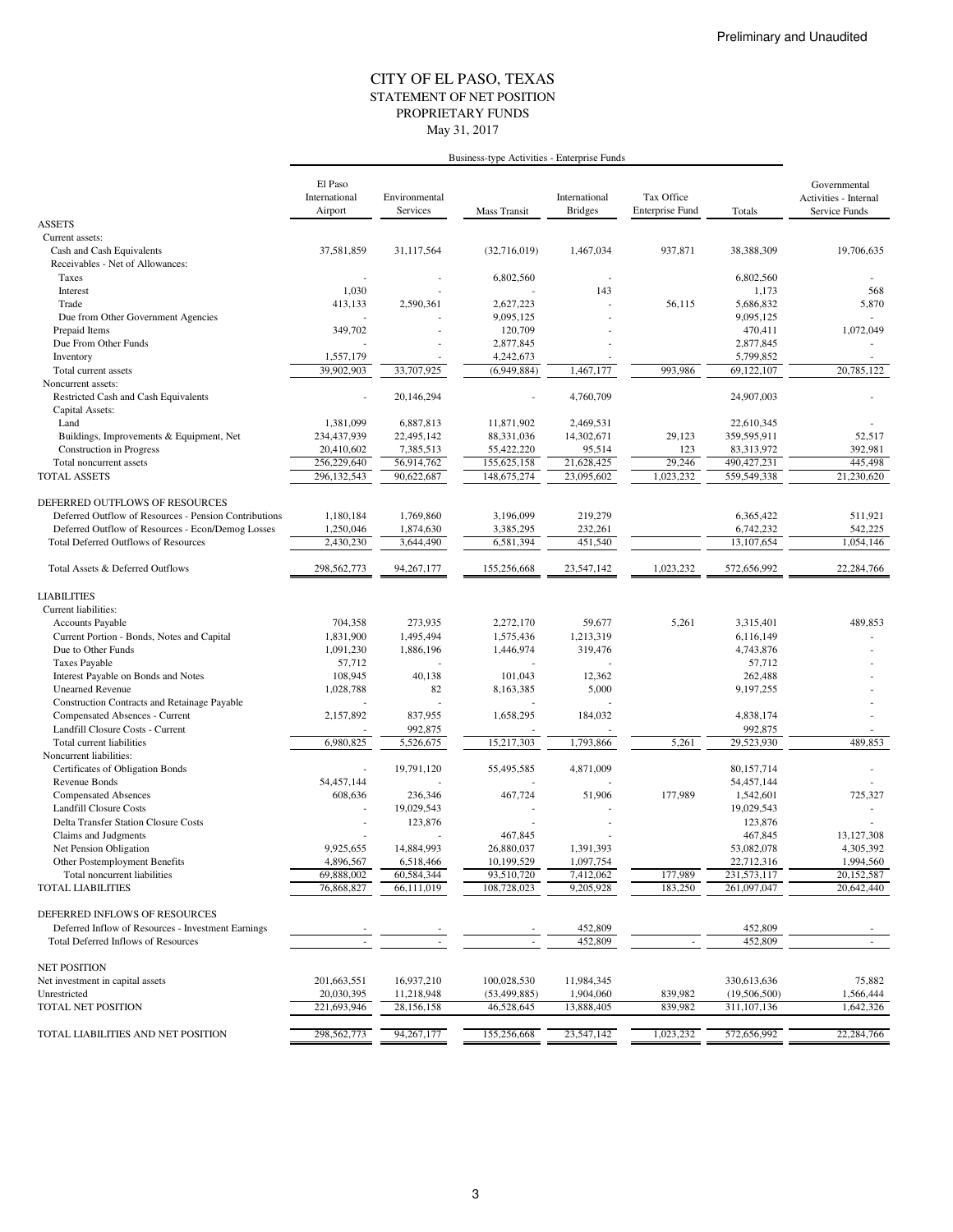#### STATEMENT OF NET POSITION CITY OF EL PASO, TEXAS May 31, 2017 PROPRIETARY FUNDS

|                                                       | Business-type Activities - Enterprise Funds |                           |                               |                                 |                               |                               |                                                        |
|-------------------------------------------------------|---------------------------------------------|---------------------------|-------------------------------|---------------------------------|-------------------------------|-------------------------------|--------------------------------------------------------|
|                                                       | El Paso<br>International<br>Airport         | Environmental<br>Services | Mass Transit                  | International<br><b>Bridges</b> | Tax Office<br>Enterprise Fund | Totals                        | Governmental<br>Activities - Internal<br>Service Funds |
| <b>ASSETS</b>                                         |                                             |                           |                               |                                 |                               |                               |                                                        |
| Current assets:                                       |                                             |                           |                               |                                 |                               |                               |                                                        |
| Cash and Cash Equivalents                             | 37,581,859                                  | 31,117,564                | (32,716,019)                  | 1,467,034                       | 937,871                       | 38,388,309                    | 19,706,635                                             |
| Receivables - Net of Allowances:                      |                                             |                           |                               |                                 |                               |                               |                                                        |
| Taxes                                                 |                                             |                           | 6,802,560                     |                                 |                               | 6,802,560                     |                                                        |
| Interest                                              | 1,030                                       |                           |                               | 143                             |                               | 1,173                         | 568                                                    |
| Trade                                                 | 413,133                                     | 2,590,361                 | 2,627,223                     |                                 | 56,115                        | 5,686,832                     | 5,870                                                  |
| Due from Other Government Agencies                    |                                             |                           | 9,095,125                     |                                 |                               | 9,095,125                     |                                                        |
| Prepaid Items                                         | 349,702                                     |                           | 120,709                       |                                 |                               | 470,411                       | 1,072,049                                              |
| Due From Other Funds                                  |                                             |                           | 2,877,845                     |                                 |                               | 2,877,845                     |                                                        |
| Inventory                                             | 1,557,179                                   |                           | 4,242,673                     |                                 |                               | 5,799,852                     |                                                        |
| Total current assets                                  | 39,902,903                                  | 33,707,925                | (6,949,884)                   | 1.467.177                       | 993,986                       | 69,122,107                    | 20,785,122                                             |
| Noncurrent assets:                                    |                                             |                           |                               |                                 |                               |                               |                                                        |
| Restricted Cash and Cash Equivalents                  |                                             | 20,146,294                |                               | 4,760,709                       |                               | 24,907,003                    |                                                        |
| Capital Assets:                                       |                                             |                           |                               |                                 |                               |                               |                                                        |
| Land                                                  | 1,381,099                                   | 6,887,813                 | 11,871,902                    | 2,469,531                       |                               | 22,610,345                    |                                                        |
| Buildings, Improvements & Equipment, Net              | 234,437,939                                 | 22,495,142                | 88,331,036                    | 14,302,671                      | 29,123                        | 359,595,911                   | 52,517                                                 |
| <b>Construction</b> in Progress                       | 20,410,602                                  | 7,385,513                 | 55,422,220                    | 95,514                          | 123                           | 83,313,972                    | 392,981                                                |
| Total noncurrent assets                               | 256,229,640                                 | 56,914,762                | 155,625,158                   | 21,628,425                      | 29,246                        | 490, 427, 231                 | 445,498                                                |
| TOTAL ASSETS                                          | 296,132,543                                 | 90,622,687                | 148, 675, 274                 | 23,095,602                      | 1,023,232                     | 559,549,338                   | 21,230,620                                             |
| DEFERRED OUTFLOWS OF RESOURCES                        |                                             |                           |                               |                                 |                               |                               |                                                        |
| Deferred Outflow of Resources - Pension Contributions | 1.180.184                                   | 1,769,860                 | 3.196.099                     | 219,279                         |                               | 6,365,422                     | 511,921                                                |
| Deferred Outflow of Resources - Econ/Demog Losses     | 1,250,046                                   | 1,874,630                 | 3,385,295                     | 232,261                         |                               | 6,742,232                     | 542,225                                                |
| <b>Total Deferred Outflows of Resources</b>           | 2.430.230                                   | 3,644,490                 | 6,581,394                     | 451,540                         |                               | 13,107,654                    | 1,054,146                                              |
|                                                       |                                             |                           |                               |                                 |                               |                               |                                                        |
| Total Assets & Deferred Outflows                      | 298,562,773                                 | 94,267,177                | 155,256,668                   | 23,547,142                      | 1,023,232                     | 572,656,992                   | 22,284,766                                             |
| <b>LIABILITIES</b>                                    |                                             |                           |                               |                                 |                               |                               |                                                        |
| Current liabilities:                                  |                                             |                           |                               |                                 |                               |                               |                                                        |
| Accounts Payable                                      | 704,358                                     | 273,935                   | 2,272,170                     | 59,677                          | 5,261                         | 3,315,401                     | 489,853                                                |
| Current Portion - Bonds, Notes and Capital            | 1,831,900                                   | 1,495,494                 | 1,575,436                     | 1,213,319                       |                               | 6,116,149                     |                                                        |
| Due to Other Funds                                    | 1,091,230                                   | 1,886,196                 | 1,446,974                     | 319,476                         |                               | 4,743,876                     |                                                        |
| <b>Taxes Payable</b>                                  | 57,712                                      |                           |                               |                                 |                               | 57,712                        |                                                        |
| Interest Payable on Bonds and Notes                   | 108,945                                     | 40,138                    | 101,043                       | 12,362                          |                               | 262,488                       |                                                        |
| <b>Unearned Revenue</b>                               | 1,028,788                                   | 82                        | 8,163,385                     | 5,000                           |                               | 9,197,255                     |                                                        |
| Construction Contracts and Retainage Payable          |                                             |                           |                               |                                 |                               |                               |                                                        |
| Compensated Absences - Current                        | 2,157,892                                   | 837,955                   | 1,658,295                     | 184,032                         |                               | 4,838,174                     |                                                        |
| Landfill Closure Costs - Current                      |                                             | 992,875                   |                               |                                 |                               | 992,875                       |                                                        |
| Total current liabilities                             | 6,980,825                                   | 5,526,675                 | 15,217,303                    | 1,793,866                       | 5,261                         | 29,523,930                    | 489,853                                                |
| Noncurrent liabilities:                               |                                             |                           |                               |                                 |                               |                               |                                                        |
| Certificates of Obligation Bonds                      | ä,                                          | 19,791,120                | 55,495,585                    | 4,871,009                       |                               | 80,157,714                    |                                                        |
| Revenue Bonds                                         | 54,457,144                                  |                           |                               |                                 |                               | 54,457,144                    |                                                        |
| <b>Compensated Absences</b>                           | 608,636                                     | 236,346                   | 467,724                       | 51,906                          | 177,989                       | 1,542,601                     | 725,327                                                |
| Landfill Closure Costs                                |                                             | 19,029,543                |                               |                                 |                               | 19,029,543                    |                                                        |
| <b>Delta Transfer Station Closure Costs</b>           |                                             | 123,876                   |                               |                                 |                               | 123,876                       |                                                        |
| Claims and Judgments                                  |                                             |                           | 467,845                       |                                 |                               | 467,845                       | 13.127.308                                             |
| Net Pension Obligation                                | 9,925,655                                   | 14,884,993                | 26,880,037                    | 1,391,393                       |                               | 53,082,078                    | 4,305,392                                              |
| Other Postemployment Benefits                         | 4,896,567                                   | 6,518,466                 | 10,199,529                    | 1,097,754                       |                               | 22,712,316                    | 1,994,560                                              |
| Total noncurrent liabilities                          | 69,888,002                                  | 60,584,344                | 93,510,720                    | 7,412,062                       | 177,989                       | 231,573,117                   | 20,152,587                                             |
| <b>TOTAL LIABILITIES</b>                              | 76,868,827                                  | 66,111,019                | 108,728,023                   | 9,205,928                       | 183,250                       | 261,097,047                   | 20,642,440                                             |
| DEFERRED INFLOWS OF RESOURCES                         |                                             |                           |                               |                                 |                               |                               |                                                        |
| Deferred Inflow of Resources - Investment Earnings    |                                             |                           |                               | 452,809                         |                               | 452,809                       |                                                        |
| <b>Total Deferred Inflows of Resources</b>            |                                             | $\overline{\phantom{a}}$  | $\overline{\phantom{a}}$      | 452,809                         | $\overline{\phantom{a}}$      | 452,809                       |                                                        |
|                                                       |                                             |                           |                               |                                 |                               |                               |                                                        |
| <b>NET POSITION</b>                                   | 201,663,551                                 |                           |                               | 11,984,345                      |                               |                               |                                                        |
| Net investment in capital assets<br>Unrestricted      | 20,030,395                                  | 16,937,210<br>11,218,948  | 100,028,530<br>(53, 499, 885) | 1,904,060                       | 839,982                       | 330,613,636<br>(19, 506, 500) | 75,882<br>1,566,444                                    |
| TOTAL NET POSITION                                    | 221,693,946                                 | 28,156,158                | 46,528,645                    | 13,888,405                      | 839,982                       | 311,107,136                   | 1,642,326                                              |
|                                                       |                                             |                           |                               |                                 |                               |                               |                                                        |
| TOTAL LIABILITIES AND NET POSITION                    | 298,562,773                                 | 94,267,177                | 155,256,668                   | 23,547,142                      | 1,023,232                     | 572,656,992                   | 22,284,766                                             |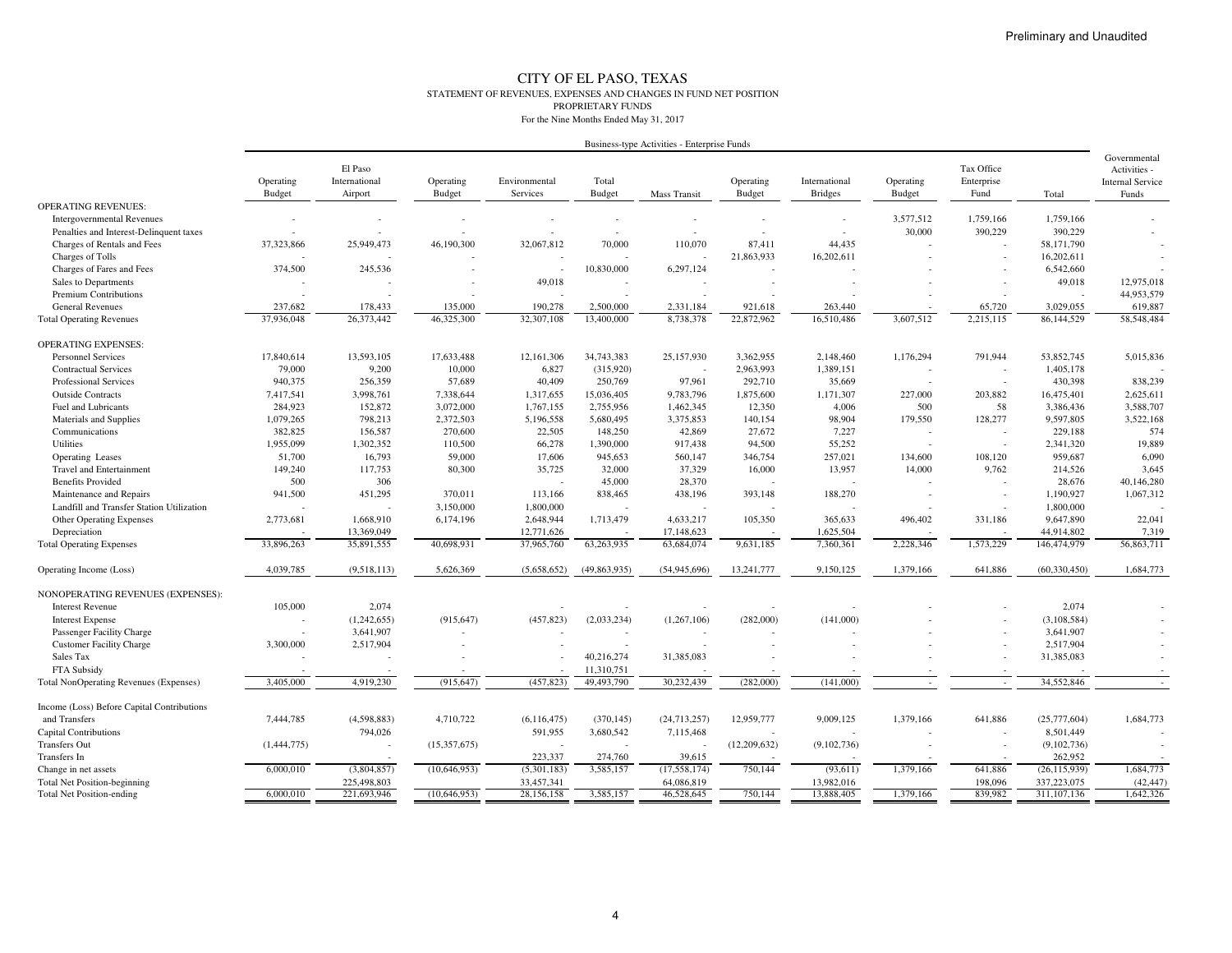#### CITY OF EL PASO, TEXAS STATEMENT OF REVENUES, EXPENSES AND CHANGES IN FUND NET POSITION PROPRIETARY FUNDSFor the Nine Months Ended May 31, 2017

| Business-type Activities - Enterprise Funds |  |  |
|---------------------------------------------|--|--|
|                                             |  |  |

| <b>OPERATING REVENUES:</b><br>3,577,512<br>1,759,166<br>1,759,166<br><b>Intergovernmental Revenues</b><br>30,000<br>390,229<br>390,229<br>Penalties and Interest-Delinquent taxes<br>Charges of Rentals and Fees<br>37,323,866<br>25,949,473<br>46,190,300<br>32,067,812<br>70,000<br>110,070<br>87,411<br>44,435<br>58,171,790<br>Charges of Tolls<br>21,863,933<br>16,202,611<br>16,202,611<br>374,500<br>245,536<br>10,830,000<br>6,542,660<br>Charges of Fares and Fees<br>6,297,124<br>$\overline{\phantom{a}}$<br>$\overline{\phantom{a}}$<br>49,018<br>49,018<br>12,975,018<br>Sales to Departments<br>44,953,579<br>Premium Contributions<br>$\overline{\phantom{a}}$<br>190,278<br>3,029,055<br>619,887<br><b>General Revenues</b><br>237,682<br>178,433<br>135,000<br>2,500,000<br>2,331,184<br>921,618<br>263,440<br>65,720<br>26,373,442<br>22,872,962<br>58,548,484<br>37,936,048<br>46,325,300<br>32,307,108<br>13,400,000<br>8,738,378<br>16,510,486<br>3,607,512<br>2,215,115<br>86,144,529<br><b>Total Operating Revenues</b><br><b>OPERATING EXPENSES:</b><br><b>Personnel Services</b><br>17,840,614<br>13,593,105<br>17,633,488<br>12,161,306<br>34,743,383<br>25,157,930<br>3,362,955<br>2,148,460<br>1,176,294<br>791,944<br>53,852,745<br>5,015,836<br>79,000<br>9,200<br>6,827<br>1,389,151<br><b>Contractual Services</b><br>10,000<br>(315,920)<br>2,963,993<br>1,405,178<br>$\overline{\phantom{a}}$<br>Professional Services<br>940,375<br>256,359<br>57,689<br>40,409<br>250,769<br>97,961<br>292,710<br>35,669<br>430,398<br>838,239<br>7,417,541<br>2,625,611<br><b>Outside Contracts</b><br>3,998,761<br>7,338,644<br>1,317,655<br>15,036,405<br>9,783,796<br>1,875,600<br>1,171,307<br>227,000<br>203.882<br>16,475,401<br>284,923<br>2,755,956<br>12,350<br>58<br>3,588,707<br>Fuel and Lubricants<br>152,872<br>3,072,000<br>1,767,155<br>1,462,345<br>4,006<br>500<br>3,386,436<br>98,904<br>128,277<br>3,522,168<br>Materials and Supplies<br>1,079,265<br>798,213<br>2,372,503<br>5,196,558<br>5,680,495<br>3,375,853<br>140,154<br>179,550<br>9,597,805<br>382,825<br>27,672<br>574<br>Communications<br>156,587<br>270,600<br>22,505<br>148,250<br>42,869<br>7,227<br>229,188<br>1,955,099<br>1,302,352<br>110,500<br>66,278<br>917,438<br>94,500<br>55,252<br>2,341,320<br>19,889<br>Utilities<br>1,390,000<br>$\overline{\phantom{a}}$<br>51,700<br>6,090<br>16,793<br>59,000<br>17,606<br>945,653<br>560,147<br>346,754<br>257,021<br>134,600<br>108,120<br>959,687<br>Operating Leases<br>13,957<br>3,645<br><b>Travel and Entertainment</b><br>149,240<br>117,753<br>80,300<br>35,725<br>32,000<br>37,329<br>16,000<br>14,000<br>9,762<br>214,526<br>500<br>306<br>28,370<br>28,676<br>40,146,280<br><b>Benefits Provided</b><br>45,000<br>941,500<br>451,295<br>188,270<br>1,190,927<br>1,067,312<br>370,011<br>113,166<br>838,465<br>438,196<br>393,148<br>Maintenance and Repairs<br>$\overline{\phantom{a}}$<br>3,150,000<br>1,800,000<br>1,800,000<br>Landfill and Transfer Station Utilization<br>2,648,944<br>1,713,479<br>4,633,217<br>105,350<br>365,633<br>9,647,890<br>22,041<br>Other Operating Expenses<br>2,773,681<br>1,668,910<br>6,174,196<br>496,402<br>331,186<br>13,369,049<br>12,771,626<br>1,625,504<br>44,914,802<br>7,319<br>Depreciation<br>17,148,623<br>37,965,760<br>63,684,074<br>7,360,361<br>146,474,979<br>56,863,711<br>33,896,263<br>35,891,555<br>40,698,931<br>63,263,935<br>9,631,185<br>2,228,346<br>1,573,229<br><b>Total Operating Expenses</b><br>1,684,773<br>4,039,785<br>(9,518,113)<br>5,626,369<br>(5,658,652)<br>(49, 863, 935)<br>(54, 945, 696)<br>13,241,777<br>9,150,125<br>1,379,166<br>641,886<br>(60, 330, 450)<br>Operating Income (Loss)<br>NONOPERATING REVENUES (EXPENSES):<br>105,000<br>2,074<br>2,074<br><b>Interest Revenue</b><br>(1,242,655)<br>(457, 823)<br>(2,033,234)<br>(1, 267, 106)<br>(282,000)<br>(141,000)<br>(3, 108, 584)<br><b>Interest Expense</b><br>(915, 647) |
|---------------------------------------------------------------------------------------------------------------------------------------------------------------------------------------------------------------------------------------------------------------------------------------------------------------------------------------------------------------------------------------------------------------------------------------------------------------------------------------------------------------------------------------------------------------------------------------------------------------------------------------------------------------------------------------------------------------------------------------------------------------------------------------------------------------------------------------------------------------------------------------------------------------------------------------------------------------------------------------------------------------------------------------------------------------------------------------------------------------------------------------------------------------------------------------------------------------------------------------------------------------------------------------------------------------------------------------------------------------------------------------------------------------------------------------------------------------------------------------------------------------------------------------------------------------------------------------------------------------------------------------------------------------------------------------------------------------------------------------------------------------------------------------------------------------------------------------------------------------------------------------------------------------------------------------------------------------------------------------------------------------------------------------------------------------------------------------------------------------------------------------------------------------------------------------------------------------------------------------------------------------------------------------------------------------------------------------------------------------------------------------------------------------------------------------------------------------------------------------------------------------------------------------------------------------------------------------------------------------------------------------------------------------------------------------------------------------------------------------------------------------------------------------------------------------------------------------------------------------------------------------------------------------------------------------------------------------------------------------------------------------------------------------------------------------------------------------------------------------------------------------------------------------------------------------------------------------------------------------------------------------------------------------------------------------------------------------------------------------------------------------------------------------------------------------------------------------------------------------------------------------------------------------------------------------------------------------------------------------------------------------------------------------------------------------------------------------------------------------------------------------------------------------------------------------------------------------------------------------------------------------------------------------------------------------------------------------------------------------------|
|                                                                                                                                                                                                                                                                                                                                                                                                                                                                                                                                                                                                                                                                                                                                                                                                                                                                                                                                                                                                                                                                                                                                                                                                                                                                                                                                                                                                                                                                                                                                                                                                                                                                                                                                                                                                                                                                                                                                                                                                                                                                                                                                                                                                                                                                                                                                                                                                                                                                                                                                                                                                                                                                                                                                                                                                                                                                                                                                                                                                                                                                                                                                                                                                                                                                                                                                                                                                                                                                                                                                                                                                                                                                                                                                                                                                                                                                                                                                                                                             |
|                                                                                                                                                                                                                                                                                                                                                                                                                                                                                                                                                                                                                                                                                                                                                                                                                                                                                                                                                                                                                                                                                                                                                                                                                                                                                                                                                                                                                                                                                                                                                                                                                                                                                                                                                                                                                                                                                                                                                                                                                                                                                                                                                                                                                                                                                                                                                                                                                                                                                                                                                                                                                                                                                                                                                                                                                                                                                                                                                                                                                                                                                                                                                                                                                                                                                                                                                                                                                                                                                                                                                                                                                                                                                                                                                                                                                                                                                                                                                                                             |
|                                                                                                                                                                                                                                                                                                                                                                                                                                                                                                                                                                                                                                                                                                                                                                                                                                                                                                                                                                                                                                                                                                                                                                                                                                                                                                                                                                                                                                                                                                                                                                                                                                                                                                                                                                                                                                                                                                                                                                                                                                                                                                                                                                                                                                                                                                                                                                                                                                                                                                                                                                                                                                                                                                                                                                                                                                                                                                                                                                                                                                                                                                                                                                                                                                                                                                                                                                                                                                                                                                                                                                                                                                                                                                                                                                                                                                                                                                                                                                                             |
|                                                                                                                                                                                                                                                                                                                                                                                                                                                                                                                                                                                                                                                                                                                                                                                                                                                                                                                                                                                                                                                                                                                                                                                                                                                                                                                                                                                                                                                                                                                                                                                                                                                                                                                                                                                                                                                                                                                                                                                                                                                                                                                                                                                                                                                                                                                                                                                                                                                                                                                                                                                                                                                                                                                                                                                                                                                                                                                                                                                                                                                                                                                                                                                                                                                                                                                                                                                                                                                                                                                                                                                                                                                                                                                                                                                                                                                                                                                                                                                             |
|                                                                                                                                                                                                                                                                                                                                                                                                                                                                                                                                                                                                                                                                                                                                                                                                                                                                                                                                                                                                                                                                                                                                                                                                                                                                                                                                                                                                                                                                                                                                                                                                                                                                                                                                                                                                                                                                                                                                                                                                                                                                                                                                                                                                                                                                                                                                                                                                                                                                                                                                                                                                                                                                                                                                                                                                                                                                                                                                                                                                                                                                                                                                                                                                                                                                                                                                                                                                                                                                                                                                                                                                                                                                                                                                                                                                                                                                                                                                                                                             |
|                                                                                                                                                                                                                                                                                                                                                                                                                                                                                                                                                                                                                                                                                                                                                                                                                                                                                                                                                                                                                                                                                                                                                                                                                                                                                                                                                                                                                                                                                                                                                                                                                                                                                                                                                                                                                                                                                                                                                                                                                                                                                                                                                                                                                                                                                                                                                                                                                                                                                                                                                                                                                                                                                                                                                                                                                                                                                                                                                                                                                                                                                                                                                                                                                                                                                                                                                                                                                                                                                                                                                                                                                                                                                                                                                                                                                                                                                                                                                                                             |
|                                                                                                                                                                                                                                                                                                                                                                                                                                                                                                                                                                                                                                                                                                                                                                                                                                                                                                                                                                                                                                                                                                                                                                                                                                                                                                                                                                                                                                                                                                                                                                                                                                                                                                                                                                                                                                                                                                                                                                                                                                                                                                                                                                                                                                                                                                                                                                                                                                                                                                                                                                                                                                                                                                                                                                                                                                                                                                                                                                                                                                                                                                                                                                                                                                                                                                                                                                                                                                                                                                                                                                                                                                                                                                                                                                                                                                                                                                                                                                                             |
|                                                                                                                                                                                                                                                                                                                                                                                                                                                                                                                                                                                                                                                                                                                                                                                                                                                                                                                                                                                                                                                                                                                                                                                                                                                                                                                                                                                                                                                                                                                                                                                                                                                                                                                                                                                                                                                                                                                                                                                                                                                                                                                                                                                                                                                                                                                                                                                                                                                                                                                                                                                                                                                                                                                                                                                                                                                                                                                                                                                                                                                                                                                                                                                                                                                                                                                                                                                                                                                                                                                                                                                                                                                                                                                                                                                                                                                                                                                                                                                             |
|                                                                                                                                                                                                                                                                                                                                                                                                                                                                                                                                                                                                                                                                                                                                                                                                                                                                                                                                                                                                                                                                                                                                                                                                                                                                                                                                                                                                                                                                                                                                                                                                                                                                                                                                                                                                                                                                                                                                                                                                                                                                                                                                                                                                                                                                                                                                                                                                                                                                                                                                                                                                                                                                                                                                                                                                                                                                                                                                                                                                                                                                                                                                                                                                                                                                                                                                                                                                                                                                                                                                                                                                                                                                                                                                                                                                                                                                                                                                                                                             |
|                                                                                                                                                                                                                                                                                                                                                                                                                                                                                                                                                                                                                                                                                                                                                                                                                                                                                                                                                                                                                                                                                                                                                                                                                                                                                                                                                                                                                                                                                                                                                                                                                                                                                                                                                                                                                                                                                                                                                                                                                                                                                                                                                                                                                                                                                                                                                                                                                                                                                                                                                                                                                                                                                                                                                                                                                                                                                                                                                                                                                                                                                                                                                                                                                                                                                                                                                                                                                                                                                                                                                                                                                                                                                                                                                                                                                                                                                                                                                                                             |
|                                                                                                                                                                                                                                                                                                                                                                                                                                                                                                                                                                                                                                                                                                                                                                                                                                                                                                                                                                                                                                                                                                                                                                                                                                                                                                                                                                                                                                                                                                                                                                                                                                                                                                                                                                                                                                                                                                                                                                                                                                                                                                                                                                                                                                                                                                                                                                                                                                                                                                                                                                                                                                                                                                                                                                                                                                                                                                                                                                                                                                                                                                                                                                                                                                                                                                                                                                                                                                                                                                                                                                                                                                                                                                                                                                                                                                                                                                                                                                                             |
|                                                                                                                                                                                                                                                                                                                                                                                                                                                                                                                                                                                                                                                                                                                                                                                                                                                                                                                                                                                                                                                                                                                                                                                                                                                                                                                                                                                                                                                                                                                                                                                                                                                                                                                                                                                                                                                                                                                                                                                                                                                                                                                                                                                                                                                                                                                                                                                                                                                                                                                                                                                                                                                                                                                                                                                                                                                                                                                                                                                                                                                                                                                                                                                                                                                                                                                                                                                                                                                                                                                                                                                                                                                                                                                                                                                                                                                                                                                                                                                             |
|                                                                                                                                                                                                                                                                                                                                                                                                                                                                                                                                                                                                                                                                                                                                                                                                                                                                                                                                                                                                                                                                                                                                                                                                                                                                                                                                                                                                                                                                                                                                                                                                                                                                                                                                                                                                                                                                                                                                                                                                                                                                                                                                                                                                                                                                                                                                                                                                                                                                                                                                                                                                                                                                                                                                                                                                                                                                                                                                                                                                                                                                                                                                                                                                                                                                                                                                                                                                                                                                                                                                                                                                                                                                                                                                                                                                                                                                                                                                                                                             |
|                                                                                                                                                                                                                                                                                                                                                                                                                                                                                                                                                                                                                                                                                                                                                                                                                                                                                                                                                                                                                                                                                                                                                                                                                                                                                                                                                                                                                                                                                                                                                                                                                                                                                                                                                                                                                                                                                                                                                                                                                                                                                                                                                                                                                                                                                                                                                                                                                                                                                                                                                                                                                                                                                                                                                                                                                                                                                                                                                                                                                                                                                                                                                                                                                                                                                                                                                                                                                                                                                                                                                                                                                                                                                                                                                                                                                                                                                                                                                                                             |
|                                                                                                                                                                                                                                                                                                                                                                                                                                                                                                                                                                                                                                                                                                                                                                                                                                                                                                                                                                                                                                                                                                                                                                                                                                                                                                                                                                                                                                                                                                                                                                                                                                                                                                                                                                                                                                                                                                                                                                                                                                                                                                                                                                                                                                                                                                                                                                                                                                                                                                                                                                                                                                                                                                                                                                                                                                                                                                                                                                                                                                                                                                                                                                                                                                                                                                                                                                                                                                                                                                                                                                                                                                                                                                                                                                                                                                                                                                                                                                                             |
|                                                                                                                                                                                                                                                                                                                                                                                                                                                                                                                                                                                                                                                                                                                                                                                                                                                                                                                                                                                                                                                                                                                                                                                                                                                                                                                                                                                                                                                                                                                                                                                                                                                                                                                                                                                                                                                                                                                                                                                                                                                                                                                                                                                                                                                                                                                                                                                                                                                                                                                                                                                                                                                                                                                                                                                                                                                                                                                                                                                                                                                                                                                                                                                                                                                                                                                                                                                                                                                                                                                                                                                                                                                                                                                                                                                                                                                                                                                                                                                             |
|                                                                                                                                                                                                                                                                                                                                                                                                                                                                                                                                                                                                                                                                                                                                                                                                                                                                                                                                                                                                                                                                                                                                                                                                                                                                                                                                                                                                                                                                                                                                                                                                                                                                                                                                                                                                                                                                                                                                                                                                                                                                                                                                                                                                                                                                                                                                                                                                                                                                                                                                                                                                                                                                                                                                                                                                                                                                                                                                                                                                                                                                                                                                                                                                                                                                                                                                                                                                                                                                                                                                                                                                                                                                                                                                                                                                                                                                                                                                                                                             |
|                                                                                                                                                                                                                                                                                                                                                                                                                                                                                                                                                                                                                                                                                                                                                                                                                                                                                                                                                                                                                                                                                                                                                                                                                                                                                                                                                                                                                                                                                                                                                                                                                                                                                                                                                                                                                                                                                                                                                                                                                                                                                                                                                                                                                                                                                                                                                                                                                                                                                                                                                                                                                                                                                                                                                                                                                                                                                                                                                                                                                                                                                                                                                                                                                                                                                                                                                                                                                                                                                                                                                                                                                                                                                                                                                                                                                                                                                                                                                                                             |
|                                                                                                                                                                                                                                                                                                                                                                                                                                                                                                                                                                                                                                                                                                                                                                                                                                                                                                                                                                                                                                                                                                                                                                                                                                                                                                                                                                                                                                                                                                                                                                                                                                                                                                                                                                                                                                                                                                                                                                                                                                                                                                                                                                                                                                                                                                                                                                                                                                                                                                                                                                                                                                                                                                                                                                                                                                                                                                                                                                                                                                                                                                                                                                                                                                                                                                                                                                                                                                                                                                                                                                                                                                                                                                                                                                                                                                                                                                                                                                                             |
|                                                                                                                                                                                                                                                                                                                                                                                                                                                                                                                                                                                                                                                                                                                                                                                                                                                                                                                                                                                                                                                                                                                                                                                                                                                                                                                                                                                                                                                                                                                                                                                                                                                                                                                                                                                                                                                                                                                                                                                                                                                                                                                                                                                                                                                                                                                                                                                                                                                                                                                                                                                                                                                                                                                                                                                                                                                                                                                                                                                                                                                                                                                                                                                                                                                                                                                                                                                                                                                                                                                                                                                                                                                                                                                                                                                                                                                                                                                                                                                             |
|                                                                                                                                                                                                                                                                                                                                                                                                                                                                                                                                                                                                                                                                                                                                                                                                                                                                                                                                                                                                                                                                                                                                                                                                                                                                                                                                                                                                                                                                                                                                                                                                                                                                                                                                                                                                                                                                                                                                                                                                                                                                                                                                                                                                                                                                                                                                                                                                                                                                                                                                                                                                                                                                                                                                                                                                                                                                                                                                                                                                                                                                                                                                                                                                                                                                                                                                                                                                                                                                                                                                                                                                                                                                                                                                                                                                                                                                                                                                                                                             |
|                                                                                                                                                                                                                                                                                                                                                                                                                                                                                                                                                                                                                                                                                                                                                                                                                                                                                                                                                                                                                                                                                                                                                                                                                                                                                                                                                                                                                                                                                                                                                                                                                                                                                                                                                                                                                                                                                                                                                                                                                                                                                                                                                                                                                                                                                                                                                                                                                                                                                                                                                                                                                                                                                                                                                                                                                                                                                                                                                                                                                                                                                                                                                                                                                                                                                                                                                                                                                                                                                                                                                                                                                                                                                                                                                                                                                                                                                                                                                                                             |
|                                                                                                                                                                                                                                                                                                                                                                                                                                                                                                                                                                                                                                                                                                                                                                                                                                                                                                                                                                                                                                                                                                                                                                                                                                                                                                                                                                                                                                                                                                                                                                                                                                                                                                                                                                                                                                                                                                                                                                                                                                                                                                                                                                                                                                                                                                                                                                                                                                                                                                                                                                                                                                                                                                                                                                                                                                                                                                                                                                                                                                                                                                                                                                                                                                                                                                                                                                                                                                                                                                                                                                                                                                                                                                                                                                                                                                                                                                                                                                                             |
|                                                                                                                                                                                                                                                                                                                                                                                                                                                                                                                                                                                                                                                                                                                                                                                                                                                                                                                                                                                                                                                                                                                                                                                                                                                                                                                                                                                                                                                                                                                                                                                                                                                                                                                                                                                                                                                                                                                                                                                                                                                                                                                                                                                                                                                                                                                                                                                                                                                                                                                                                                                                                                                                                                                                                                                                                                                                                                                                                                                                                                                                                                                                                                                                                                                                                                                                                                                                                                                                                                                                                                                                                                                                                                                                                                                                                                                                                                                                                                                             |
|                                                                                                                                                                                                                                                                                                                                                                                                                                                                                                                                                                                                                                                                                                                                                                                                                                                                                                                                                                                                                                                                                                                                                                                                                                                                                                                                                                                                                                                                                                                                                                                                                                                                                                                                                                                                                                                                                                                                                                                                                                                                                                                                                                                                                                                                                                                                                                                                                                                                                                                                                                                                                                                                                                                                                                                                                                                                                                                                                                                                                                                                                                                                                                                                                                                                                                                                                                                                                                                                                                                                                                                                                                                                                                                                                                                                                                                                                                                                                                                             |
|                                                                                                                                                                                                                                                                                                                                                                                                                                                                                                                                                                                                                                                                                                                                                                                                                                                                                                                                                                                                                                                                                                                                                                                                                                                                                                                                                                                                                                                                                                                                                                                                                                                                                                                                                                                                                                                                                                                                                                                                                                                                                                                                                                                                                                                                                                                                                                                                                                                                                                                                                                                                                                                                                                                                                                                                                                                                                                                                                                                                                                                                                                                                                                                                                                                                                                                                                                                                                                                                                                                                                                                                                                                                                                                                                                                                                                                                                                                                                                                             |
|                                                                                                                                                                                                                                                                                                                                                                                                                                                                                                                                                                                                                                                                                                                                                                                                                                                                                                                                                                                                                                                                                                                                                                                                                                                                                                                                                                                                                                                                                                                                                                                                                                                                                                                                                                                                                                                                                                                                                                                                                                                                                                                                                                                                                                                                                                                                                                                                                                                                                                                                                                                                                                                                                                                                                                                                                                                                                                                                                                                                                                                                                                                                                                                                                                                                                                                                                                                                                                                                                                                                                                                                                                                                                                                                                                                                                                                                                                                                                                                             |
|                                                                                                                                                                                                                                                                                                                                                                                                                                                                                                                                                                                                                                                                                                                                                                                                                                                                                                                                                                                                                                                                                                                                                                                                                                                                                                                                                                                                                                                                                                                                                                                                                                                                                                                                                                                                                                                                                                                                                                                                                                                                                                                                                                                                                                                                                                                                                                                                                                                                                                                                                                                                                                                                                                                                                                                                                                                                                                                                                                                                                                                                                                                                                                                                                                                                                                                                                                                                                                                                                                                                                                                                                                                                                                                                                                                                                                                                                                                                                                                             |
|                                                                                                                                                                                                                                                                                                                                                                                                                                                                                                                                                                                                                                                                                                                                                                                                                                                                                                                                                                                                                                                                                                                                                                                                                                                                                                                                                                                                                                                                                                                                                                                                                                                                                                                                                                                                                                                                                                                                                                                                                                                                                                                                                                                                                                                                                                                                                                                                                                                                                                                                                                                                                                                                                                                                                                                                                                                                                                                                                                                                                                                                                                                                                                                                                                                                                                                                                                                                                                                                                                                                                                                                                                                                                                                                                                                                                                                                                                                                                                                             |
|                                                                                                                                                                                                                                                                                                                                                                                                                                                                                                                                                                                                                                                                                                                                                                                                                                                                                                                                                                                                                                                                                                                                                                                                                                                                                                                                                                                                                                                                                                                                                                                                                                                                                                                                                                                                                                                                                                                                                                                                                                                                                                                                                                                                                                                                                                                                                                                                                                                                                                                                                                                                                                                                                                                                                                                                                                                                                                                                                                                                                                                                                                                                                                                                                                                                                                                                                                                                                                                                                                                                                                                                                                                                                                                                                                                                                                                                                                                                                                                             |
|                                                                                                                                                                                                                                                                                                                                                                                                                                                                                                                                                                                                                                                                                                                                                                                                                                                                                                                                                                                                                                                                                                                                                                                                                                                                                                                                                                                                                                                                                                                                                                                                                                                                                                                                                                                                                                                                                                                                                                                                                                                                                                                                                                                                                                                                                                                                                                                                                                                                                                                                                                                                                                                                                                                                                                                                                                                                                                                                                                                                                                                                                                                                                                                                                                                                                                                                                                                                                                                                                                                                                                                                                                                                                                                                                                                                                                                                                                                                                                                             |
| 3,641,907<br>3,641,907<br>Passenger Facility Charge                                                                                                                                                                                                                                                                                                                                                                                                                                                                                                                                                                                                                                                                                                                                                                                                                                                                                                                                                                                                                                                                                                                                                                                                                                                                                                                                                                                                                                                                                                                                                                                                                                                                                                                                                                                                                                                                                                                                                                                                                                                                                                                                                                                                                                                                                                                                                                                                                                                                                                                                                                                                                                                                                                                                                                                                                                                                                                                                                                                                                                                                                                                                                                                                                                                                                                                                                                                                                                                                                                                                                                                                                                                                                                                                                                                                                                                                                                                                         |
| <b>Customer Facility Charge</b><br>3,300,000<br>2,517,904<br>2,517,904                                                                                                                                                                                                                                                                                                                                                                                                                                                                                                                                                                                                                                                                                                                                                                                                                                                                                                                                                                                                                                                                                                                                                                                                                                                                                                                                                                                                                                                                                                                                                                                                                                                                                                                                                                                                                                                                                                                                                                                                                                                                                                                                                                                                                                                                                                                                                                                                                                                                                                                                                                                                                                                                                                                                                                                                                                                                                                                                                                                                                                                                                                                                                                                                                                                                                                                                                                                                                                                                                                                                                                                                                                                                                                                                                                                                                                                                                                                      |
| 40,216,274<br>31,385,083<br>Sales Tax<br>31,385,083                                                                                                                                                                                                                                                                                                                                                                                                                                                                                                                                                                                                                                                                                                                                                                                                                                                                                                                                                                                                                                                                                                                                                                                                                                                                                                                                                                                                                                                                                                                                                                                                                                                                                                                                                                                                                                                                                                                                                                                                                                                                                                                                                                                                                                                                                                                                                                                                                                                                                                                                                                                                                                                                                                                                                                                                                                                                                                                                                                                                                                                                                                                                                                                                                                                                                                                                                                                                                                                                                                                                                                                                                                                                                                                                                                                                                                                                                                                                         |
| FTA Subsidy<br>11,310,751                                                                                                                                                                                                                                                                                                                                                                                                                                                                                                                                                                                                                                                                                                                                                                                                                                                                                                                                                                                                                                                                                                                                                                                                                                                                                                                                                                                                                                                                                                                                                                                                                                                                                                                                                                                                                                                                                                                                                                                                                                                                                                                                                                                                                                                                                                                                                                                                                                                                                                                                                                                                                                                                                                                                                                                                                                                                                                                                                                                                                                                                                                                                                                                                                                                                                                                                                                                                                                                                                                                                                                                                                                                                                                                                                                                                                                                                                                                                                                   |
| 3,405,000<br>(457, 823)<br>49,493,790<br>30,232,439<br>(282,000)<br>34,552,846<br>Total NonOperating Revenues (Expenses)<br>4,919,230<br>(915, 647)<br>(141,000)                                                                                                                                                                                                                                                                                                                                                                                                                                                                                                                                                                                                                                                                                                                                                                                                                                                                                                                                                                                                                                                                                                                                                                                                                                                                                                                                                                                                                                                                                                                                                                                                                                                                                                                                                                                                                                                                                                                                                                                                                                                                                                                                                                                                                                                                                                                                                                                                                                                                                                                                                                                                                                                                                                                                                                                                                                                                                                                                                                                                                                                                                                                                                                                                                                                                                                                                                                                                                                                                                                                                                                                                                                                                                                                                                                                                                            |
| Income (Loss) Before Capital Contributions                                                                                                                                                                                                                                                                                                                                                                                                                                                                                                                                                                                                                                                                                                                                                                                                                                                                                                                                                                                                                                                                                                                                                                                                                                                                                                                                                                                                                                                                                                                                                                                                                                                                                                                                                                                                                                                                                                                                                                                                                                                                                                                                                                                                                                                                                                                                                                                                                                                                                                                                                                                                                                                                                                                                                                                                                                                                                                                                                                                                                                                                                                                                                                                                                                                                                                                                                                                                                                                                                                                                                                                                                                                                                                                                                                                                                                                                                                                                                  |
| 7,444,785<br>4,710,722<br>(6, 116, 475)<br>(370, 145)<br>12,959,777<br>9,009,125<br>1,379,166<br>641,886<br>1,684,773<br>and Transfers<br>(4,598,883)<br>(24, 713, 257)<br>(25,777,604)                                                                                                                                                                                                                                                                                                                                                                                                                                                                                                                                                                                                                                                                                                                                                                                                                                                                                                                                                                                                                                                                                                                                                                                                                                                                                                                                                                                                                                                                                                                                                                                                                                                                                                                                                                                                                                                                                                                                                                                                                                                                                                                                                                                                                                                                                                                                                                                                                                                                                                                                                                                                                                                                                                                                                                                                                                                                                                                                                                                                                                                                                                                                                                                                                                                                                                                                                                                                                                                                                                                                                                                                                                                                                                                                                                                                     |
| 794,026<br>591,955<br>3,680,542<br>7,115,468<br>8,501,449<br><b>Capital Contributions</b>                                                                                                                                                                                                                                                                                                                                                                                                                                                                                                                                                                                                                                                                                                                                                                                                                                                                                                                                                                                                                                                                                                                                                                                                                                                                                                                                                                                                                                                                                                                                                                                                                                                                                                                                                                                                                                                                                                                                                                                                                                                                                                                                                                                                                                                                                                                                                                                                                                                                                                                                                                                                                                                                                                                                                                                                                                                                                                                                                                                                                                                                                                                                                                                                                                                                                                                                                                                                                                                                                                                                                                                                                                                                                                                                                                                                                                                                                                   |
| <b>Transfers Out</b><br>(1,444,775)<br>(15,357,675)<br>(12,209,632)<br>(9,102,736)<br>(9,102,736)                                                                                                                                                                                                                                                                                                                                                                                                                                                                                                                                                                                                                                                                                                                                                                                                                                                                                                                                                                                                                                                                                                                                                                                                                                                                                                                                                                                                                                                                                                                                                                                                                                                                                                                                                                                                                                                                                                                                                                                                                                                                                                                                                                                                                                                                                                                                                                                                                                                                                                                                                                                                                                                                                                                                                                                                                                                                                                                                                                                                                                                                                                                                                                                                                                                                                                                                                                                                                                                                                                                                                                                                                                                                                                                                                                                                                                                                                           |
| 223,337<br>39,615<br>262,952<br>Transfers In<br>274,760                                                                                                                                                                                                                                                                                                                                                                                                                                                                                                                                                                                                                                                                                                                                                                                                                                                                                                                                                                                                                                                                                                                                                                                                                                                                                                                                                                                                                                                                                                                                                                                                                                                                                                                                                                                                                                                                                                                                                                                                                                                                                                                                                                                                                                                                                                                                                                                                                                                                                                                                                                                                                                                                                                                                                                                                                                                                                                                                                                                                                                                                                                                                                                                                                                                                                                                                                                                                                                                                                                                                                                                                                                                                                                                                                                                                                                                                                                                                     |
| 1,684,773<br>(3,804,857)<br>3,585,157<br>(17, 558, 174)<br>750,144<br>(93, 611)<br>1,379,166<br>(26, 115, 939)<br>6,000,010<br>(10,646,953)<br>(5,301,183)<br>641,886<br>Change in net assets                                                                                                                                                                                                                                                                                                                                                                                                                                                                                                                                                                                                                                                                                                                                                                                                                                                                                                                                                                                                                                                                                                                                                                                                                                                                                                                                                                                                                                                                                                                                                                                                                                                                                                                                                                                                                                                                                                                                                                                                                                                                                                                                                                                                                                                                                                                                                                                                                                                                                                                                                                                                                                                                                                                                                                                                                                                                                                                                                                                                                                                                                                                                                                                                                                                                                                                                                                                                                                                                                                                                                                                                                                                                                                                                                                                               |
| <b>Total Net Position-beginning</b><br>225,498,803<br>33,457,341<br>64,086,819<br>13,982,016<br>198,096<br>337,223,075<br>(42, 447)                                                                                                                                                                                                                                                                                                                                                                                                                                                                                                                                                                                                                                                                                                                                                                                                                                                                                                                                                                                                                                                                                                                                                                                                                                                                                                                                                                                                                                                                                                                                                                                                                                                                                                                                                                                                                                                                                                                                                                                                                                                                                                                                                                                                                                                                                                                                                                                                                                                                                                                                                                                                                                                                                                                                                                                                                                                                                                                                                                                                                                                                                                                                                                                                                                                                                                                                                                                                                                                                                                                                                                                                                                                                                                                                                                                                                                                         |
| 1,642,326<br>221,693,946<br>(10, 646, 953)<br>28,156,158<br>3,585,157<br>46,528,645<br>750,144<br>13,888,405<br>1,379,166<br>839,982<br>311,107,136<br><b>Total Net Position-ending</b><br>6,000,010                                                                                                                                                                                                                                                                                                                                                                                                                                                                                                                                                                                                                                                                                                                                                                                                                                                                                                                                                                                                                                                                                                                                                                                                                                                                                                                                                                                                                                                                                                                                                                                                                                                                                                                                                                                                                                                                                                                                                                                                                                                                                                                                                                                                                                                                                                                                                                                                                                                                                                                                                                                                                                                                                                                                                                                                                                                                                                                                                                                                                                                                                                                                                                                                                                                                                                                                                                                                                                                                                                                                                                                                                                                                                                                                                                                        |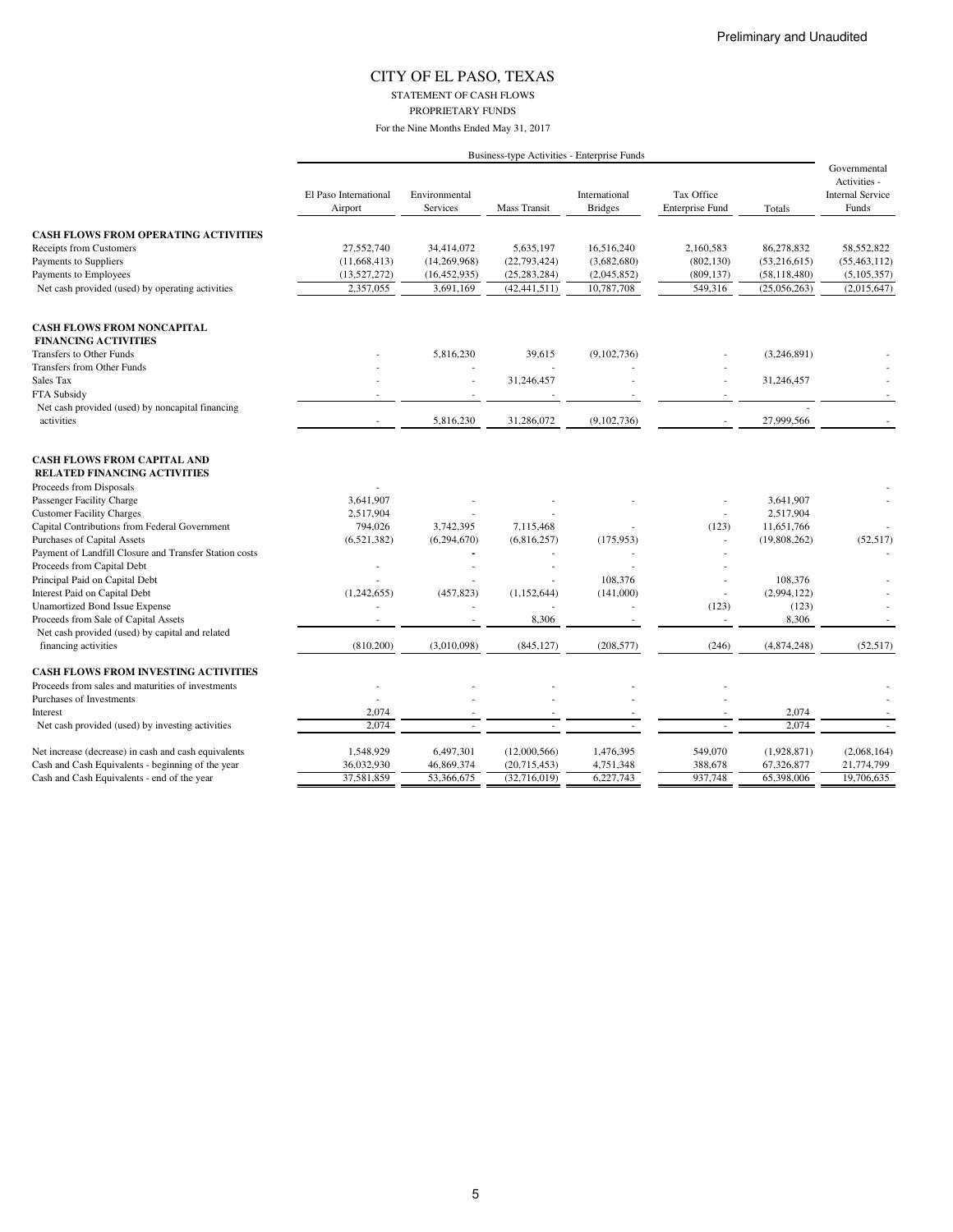STATEMENT OF CASH FLOWS PROPRIETARY FUNDS

|                                                                           |                                  |                                  |                     | Business-type Activities - Enterprise Funds |                                      |                |                                                                  |
|---------------------------------------------------------------------------|----------------------------------|----------------------------------|---------------------|---------------------------------------------|--------------------------------------|----------------|------------------------------------------------------------------|
|                                                                           | El Paso International<br>Airport | Environmental<br><b>Services</b> | <b>Mass Transit</b> | International<br><b>Bridges</b>             | Tax Office<br><b>Enterprise Fund</b> | Totals         | Governmental<br>Activities -<br><b>Internal Service</b><br>Funds |
| <b>CASH FLOWS FROM OPERATING ACTIVITIES</b>                               |                                  |                                  |                     |                                             |                                      |                |                                                                  |
| Receipts from Customers                                                   | 27,552,740                       | 34,414,072                       | 5,635,197           | 16,516,240                                  | 2,160,583                            | 86,278,832     | 58,552,822                                                       |
| Payments to Suppliers                                                     | (11, 668, 413)                   | (14, 269, 968)                   | (22, 793, 424)      | (3,682,680)                                 | (802, 130)                           | (53,216,615)   | (55, 463, 112)                                                   |
| Payments to Employees                                                     | (13,527,272)                     | (16, 452, 935)                   | (25, 283, 284)      | (2,045,852)                                 | (809, 137)                           | (58, 118, 480) | (5,105,357)                                                      |
| Net cash provided (used) by operating activities                          | 2,357,055                        | 3,691,169                        | (42, 441, 511)      | 10,787,708                                  | 549,316                              | (25,056,263)   | (2,015,647)                                                      |
| <b>CASH FLOWS FROM NONCAPITAL</b>                                         |                                  |                                  |                     |                                             |                                      |                |                                                                  |
| <b>FINANCING ACTIVITIES</b>                                               |                                  |                                  |                     |                                             |                                      |                |                                                                  |
| Transfers to Other Funds                                                  |                                  | 5,816,230                        | 39,615              | (9,102,736)                                 |                                      | (3,246,891)    |                                                                  |
| <b>Transfers from Other Funds</b>                                         |                                  |                                  |                     |                                             |                                      |                |                                                                  |
| Sales Tax                                                                 |                                  |                                  | 31,246,457          |                                             |                                      | 31,246,457     |                                                                  |
| FTA Subsidy                                                               |                                  |                                  |                     |                                             |                                      |                |                                                                  |
| Net cash provided (used) by noncapital financing                          |                                  |                                  |                     |                                             |                                      |                |                                                                  |
| activities                                                                |                                  | 5,816,230                        | 31,286,072          | (9,102,736)                                 |                                      | 27,999,566     |                                                                  |
| <b>CASH FLOWS FROM CAPITAL AND</b><br><b>RELATED FINANCING ACTIVITIES</b> |                                  |                                  |                     |                                             |                                      |                |                                                                  |
| Proceeds from Disposals                                                   |                                  |                                  |                     |                                             |                                      |                |                                                                  |
| Passenger Facility Charge                                                 | 3,641,907                        |                                  |                     |                                             |                                      | 3,641,907      |                                                                  |
| <b>Customer Facility Charges</b>                                          | 2,517,904                        |                                  |                     |                                             |                                      | 2,517,904      |                                                                  |
| Capital Contributions from Federal Government                             | 794,026                          | 3,742,395                        | 7,115,468           |                                             | (123)                                | 11,651,766     |                                                                  |
| Purchases of Capital Assets                                               | (6,521,382)                      | (6,294,670)                      | (6,816,257)         | (175, 953)                                  |                                      | (19,808,262)   | (52, 517)                                                        |
| Payment of Landfill Closure and Transfer Station costs                    |                                  |                                  |                     |                                             |                                      |                |                                                                  |
| Proceeds from Capital Debt                                                |                                  |                                  |                     |                                             |                                      |                |                                                                  |
| Principal Paid on Capital Debt                                            |                                  |                                  |                     | 108,376                                     |                                      | 108,376        |                                                                  |
| Interest Paid on Capital Debt                                             | (1,242,655)                      | (457, 823)                       | (1,152,644)         | (141,000)                                   | ä,                                   | (2,994,122)    |                                                                  |
| <b>Unamortized Bond Issue Expense</b>                                     |                                  |                                  |                     |                                             | (123)                                | (123)          |                                                                  |
| Proceeds from Sale of Capital Assets                                      |                                  |                                  | 8,306               |                                             | $\overline{\phantom{a}}$             | 8,306          | $\sim$                                                           |
| Net cash provided (used) by capital and related                           |                                  |                                  |                     |                                             |                                      |                |                                                                  |
| financing activities                                                      | (810, 200)                       | (3,010,098)                      | (845, 127)          | (208, 577)                                  | (246)                                | (4,874,248)    | (52, 517)                                                        |
| <b>CASH FLOWS FROM INVESTING ACTIVITIES</b>                               |                                  |                                  |                     |                                             |                                      |                |                                                                  |
| Proceeds from sales and maturities of investments                         |                                  |                                  |                     |                                             |                                      |                |                                                                  |
| Purchases of Investments                                                  |                                  |                                  |                     |                                             |                                      |                |                                                                  |
| Interest                                                                  | 2,074                            |                                  |                     |                                             |                                      | 2,074          |                                                                  |
| Net cash provided (used) by investing activities                          | 2,074                            |                                  |                     |                                             |                                      | 2,074          |                                                                  |
| Net increase (decrease) in cash and cash equivalents                      | 1,548,929                        | 6,497,301                        | (12,000,566)        | 1,476,395                                   | 549,070                              | (1,928,871)    | (2,068,164)                                                      |
| Cash and Cash Equivalents - beginning of the year                         | 36,032,930                       | 46,869,374                       | (20,715,453)        | 4,751,348                                   | 388,678                              | 67,326,877     | 21,774,799                                                       |
| Cash and Cash Equivalents - end of the year                               | 37,581,859                       | 53,366,675                       | (32,716,019)        | 6,227,743                                   | 937,748                              | 65,398,006     | 19,706,635                                                       |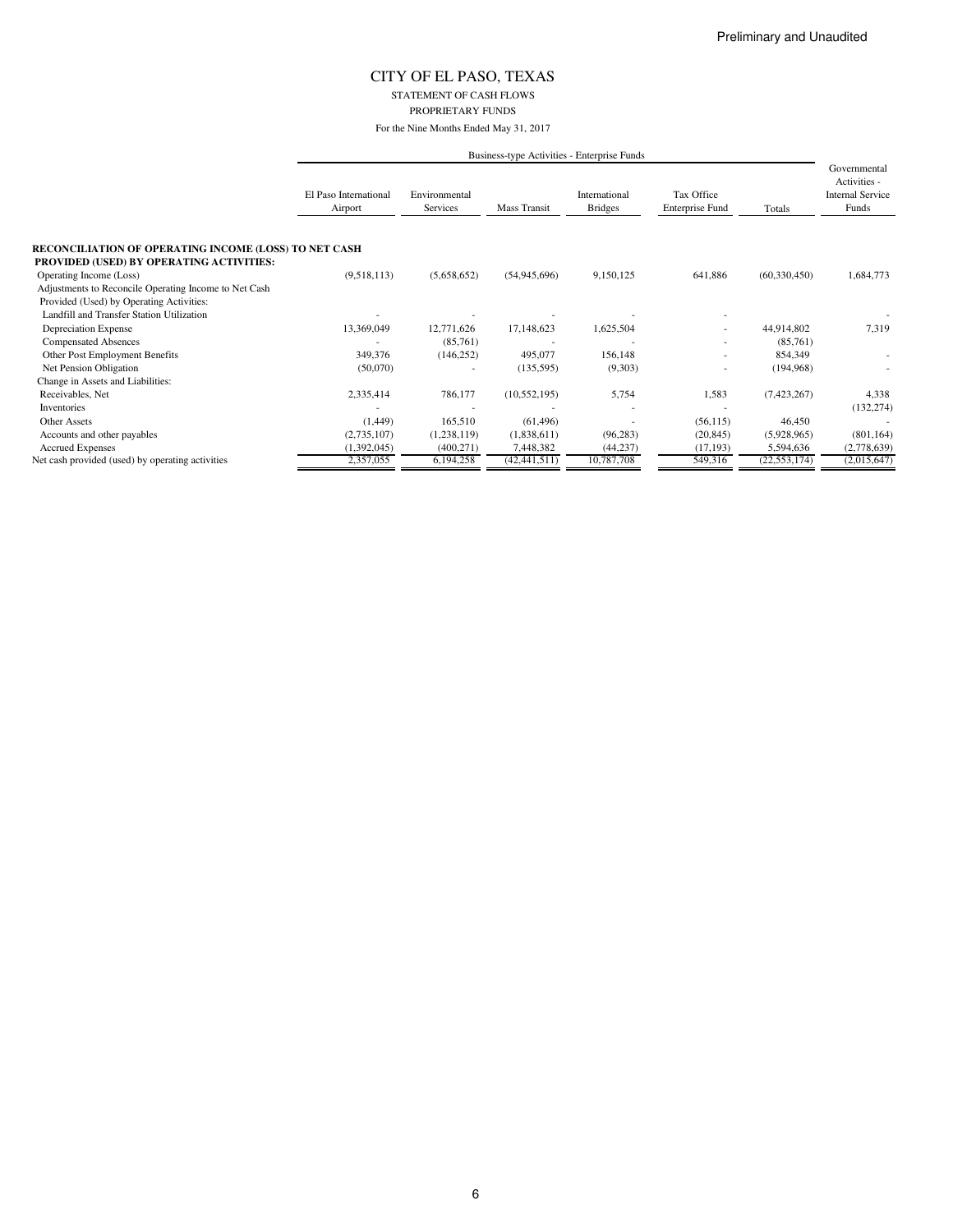STATEMENT OF CASH FLOWS PROPRIETARY FUNDS

For the Nine Months Ended May 31, 2017

|                                                                                                          | Business-type Activities - Enterprise Funds |                           |                |                                 |                                      |                |                                                                  |
|----------------------------------------------------------------------------------------------------------|---------------------------------------------|---------------------------|----------------|---------------------------------|--------------------------------------|----------------|------------------------------------------------------------------|
|                                                                                                          | El Paso International<br>Airport            | Environmental<br>Services | Mass Transit   | International<br><b>Bridges</b> | Tax Office<br><b>Enterprise Fund</b> | Totals         | Governmental<br>Activities -<br><b>Internal Service</b><br>Funds |
| <b>RECONCILIATION OF OPERATING INCOME (LOSS) TO NET CASH</b><br>PROVIDED (USED) BY OPERATING ACTIVITIES: |                                             |                           |                |                                 |                                      |                |                                                                  |
| Operating Income (Loss)                                                                                  | (9,518,113)                                 | (5,658,652)               | (54, 945, 696) | 9,150,125                       | 641,886                              | (60, 330, 450) | 1,684,773                                                        |
| Adjustments to Reconcile Operating Income to Net Cash                                                    |                                             |                           |                |                                 |                                      |                |                                                                  |
| Provided (Used) by Operating Activities:                                                                 |                                             |                           |                |                                 |                                      |                |                                                                  |
| Landfill and Transfer Station Utilization                                                                |                                             |                           |                |                                 |                                      |                |                                                                  |
| Depreciation Expense                                                                                     | 13,369,049                                  | 12,771,626                | 17,148,623     | 1,625,504                       |                                      | 44,914,802     | 7,319                                                            |
| <b>Compensated Absences</b>                                                                              |                                             | (85,761)                  |                |                                 |                                      | (85,761)       |                                                                  |
| Other Post Employment Benefits                                                                           | 349,376                                     | (146, 252)                | 495,077        | 156,148                         |                                      | 854,349        |                                                                  |
| Net Pension Obligation                                                                                   | (50,070)                                    |                           | (135, 595)     | (9,303)                         | ۰                                    | (194, 968)     |                                                                  |
| Change in Assets and Liabilities:                                                                        |                                             |                           |                |                                 |                                      |                |                                                                  |
| Receivables, Net                                                                                         | 2,335,414                                   | 786,177                   | (10, 552, 195) | 5,754                           | 1,583                                | (7,423,267)    | 4,338                                                            |
| Inventories                                                                                              |                                             |                           |                |                                 |                                      |                | (132, 274)                                                       |
| <b>Other Assets</b>                                                                                      | (1,449)                                     | 165,510                   |                |                                 | (56, 115)                            | 46,450         |                                                                  |
|                                                                                                          |                                             |                           | (61, 496)      |                                 |                                      |                |                                                                  |
| Accounts and other payables                                                                              | (2,735,107)                                 | (1,238,119)               | (1,838,611)    | (96, 283)                       | (20, 845)                            | (5,928,965)    | (801, 164)                                                       |
| <b>Accrued Expenses</b>                                                                                  | (1,392,045)                                 | (400, 271)                | 7,448,382      | (44, 237)                       | (17, 193)                            | 5,594,636      | (2,778,639)                                                      |
| Net cash provided (used) by operating activities                                                         | 2,357,055                                   | 6,194,258                 | (42, 441, 511) | 10,787,708                      | 549,316                              | (22, 553, 174) | (2,015,647)                                                      |

6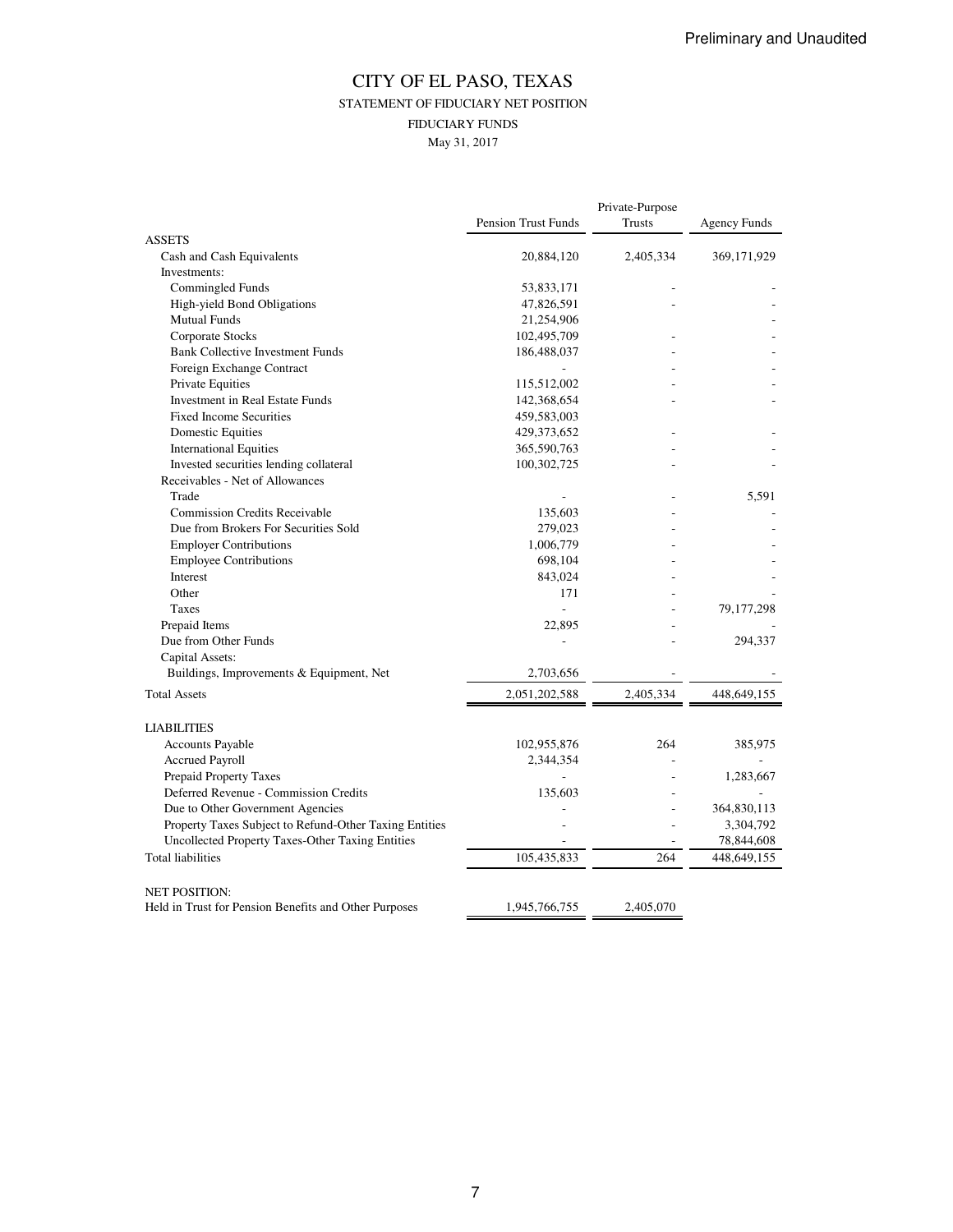### CITY OF EL PASO, TEXAS STATEMENT OF FIDUCIARY NET POSITION FIDUCIARY FUNDS May 31, 2017

|                                                        |                            | Private-Purpose |                     |
|--------------------------------------------------------|----------------------------|-----------------|---------------------|
|                                                        | <b>Pension Trust Funds</b> | Trusts          | <b>Agency Funds</b> |
| <b>ASSETS</b>                                          | 20,884,120                 | 2,405,334       | 369,171,929         |
| Cash and Cash Equivalents<br>Investments:              |                            |                 |                     |
| Commingled Funds                                       |                            |                 |                     |
|                                                        | 53,833,171<br>47,826,591   |                 |                     |
| High-yield Bond Obligations                            |                            |                 |                     |
| <b>Mutual Funds</b>                                    | 21,254,906                 |                 |                     |
| Corporate Stocks                                       | 102,495,709                |                 |                     |
| <b>Bank Collective Investment Funds</b>                | 186,488,037                |                 |                     |
| Foreign Exchange Contract                              |                            |                 |                     |
| Private Equities                                       | 115,512,002                |                 |                     |
| Investment in Real Estate Funds                        | 142,368,654                |                 |                     |
| <b>Fixed Income Securities</b>                         | 459,583,003                |                 |                     |
| Domestic Equities                                      | 429, 373, 652              |                 |                     |
| <b>International Equities</b>                          | 365,590,763                |                 |                     |
| Invested securities lending collateral                 | 100,302,725                |                 |                     |
| Receivables - Net of Allowances                        |                            |                 |                     |
| Trade                                                  |                            |                 | 5,591               |
| <b>Commission Credits Receivable</b>                   | 135,603                    |                 |                     |
| Due from Brokers For Securities Sold                   | 279,023                    |                 |                     |
| <b>Employer Contributions</b>                          | 1,006,779                  |                 |                     |
| <b>Employee Contributions</b>                          | 698,104                    |                 |                     |
| Interest                                               | 843,024                    |                 |                     |
| Other                                                  | 171                        |                 |                     |
| Taxes                                                  | $\overline{a}$             |                 | 79,177,298          |
| Prepaid Items                                          | 22,895                     |                 |                     |
| Due from Other Funds                                   |                            |                 | 294,337             |
| Capital Assets:                                        |                            |                 |                     |
| Buildings, Improvements & Equipment, Net               | 2,703,656                  |                 |                     |
| <b>Total Assets</b>                                    | 2,051,202,588              | 2,405,334       | 448, 649, 155       |
| <b>LIABILITIES</b>                                     |                            |                 |                     |
| Accounts Payable                                       | 102,955,876                | 264             | 385,975             |
| <b>Accrued Payroll</b>                                 | 2,344,354                  |                 |                     |
| Prepaid Property Taxes                                 |                            |                 | 1,283,667           |
| Deferred Revenue - Commission Credits                  | 135,603                    |                 |                     |
| Due to Other Government Agencies                       |                            |                 | 364,830,113         |
| Property Taxes Subject to Refund-Other Taxing Entities |                            |                 | 3,304,792           |
| Uncollected Property Taxes-Other Taxing Entities       |                            |                 | 78,844,608          |
| <b>Total liabilities</b>                               | 105,435,833                | 264             | 448,649,155         |
|                                                        |                            |                 |                     |
| <b>NET POSITION:</b>                                   |                            |                 |                     |
| Held in Trust for Pension Benefits and Other Purposes  | 1,945,766,755              | 2,405,070       |                     |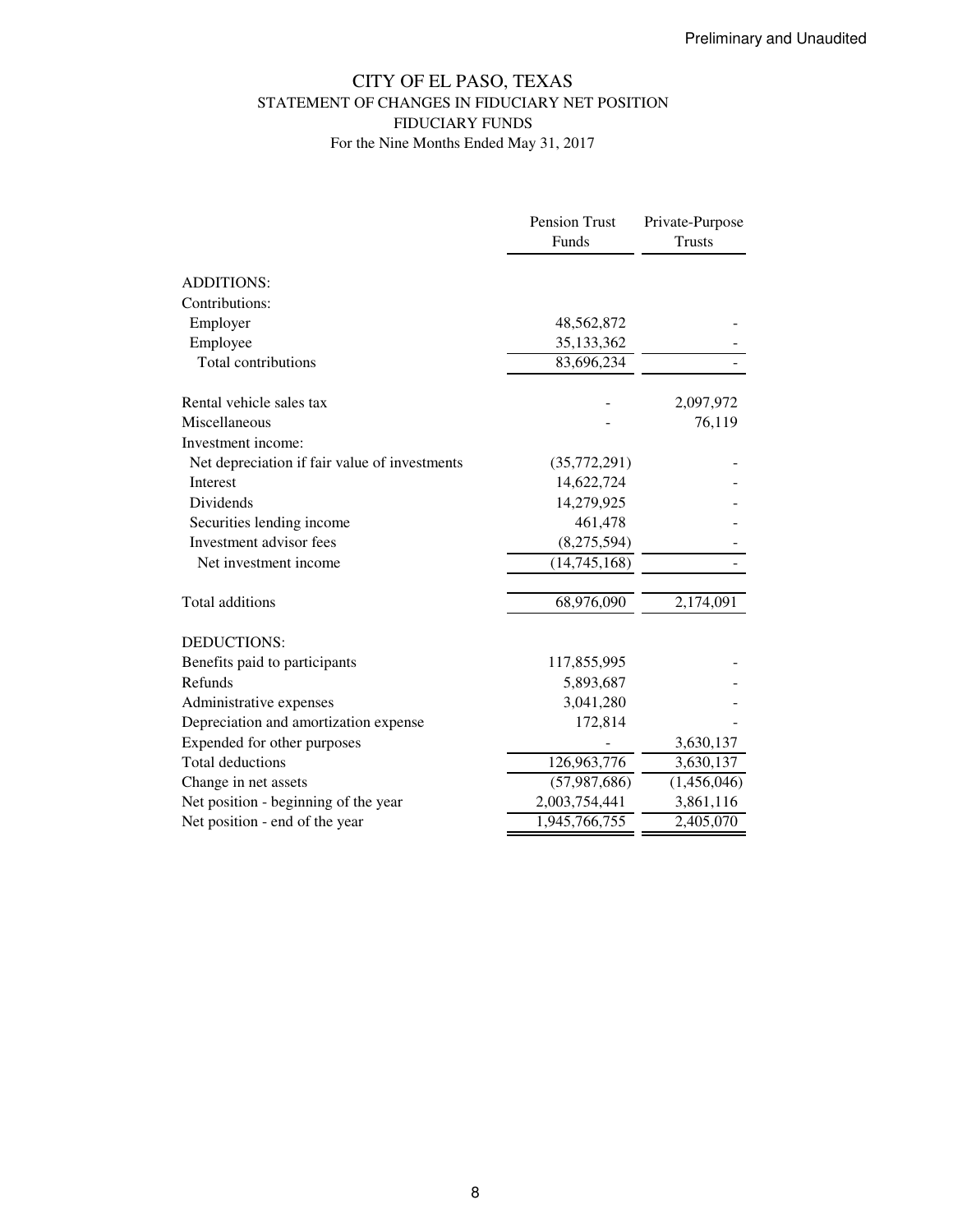### CITY OF EL PASO, TEXAS STATEMENT OF CHANGES IN FIDUCIARY NET POSITION FIDUCIARY FUNDS For the Nine Months Ended May 31, 2017

|                                               | Pension Trust  | Private-Purpose |
|-----------------------------------------------|----------------|-----------------|
|                                               | Funds          | <b>Trusts</b>   |
| <b>ADDITIONS:</b>                             |                |                 |
| Contributions:                                |                |                 |
| Employer                                      | 48,562,872     |                 |
| Employee                                      | 35,133,362     |                 |
| Total contributions                           | 83,696,234     |                 |
| Rental vehicle sales tax                      |                | 2,097,972       |
| Miscellaneous                                 |                | 76,119          |
| Investment income:                            |                |                 |
| Net depreciation if fair value of investments | (35,772,291)   |                 |
| <b>Interest</b>                               | 14,622,724     |                 |
| Dividends                                     | 14,279,925     |                 |
| Securities lending income                     | 461,478        |                 |
| Investment advisor fees                       | (8,275,594)    |                 |
| Net investment income                         | (14, 745, 168) |                 |
| Total additions                               | 68,976,090     | 2,174,091       |
| DEDUCTIONS:                                   |                |                 |
| Benefits paid to participants                 | 117,855,995    |                 |
| Refunds                                       | 5,893,687      |                 |
| Administrative expenses                       | 3,041,280      |                 |
| Depreciation and amortization expense         | 172,814        |                 |
| Expended for other purposes                   |                | 3,630,137       |
| <b>Total deductions</b>                       | 126,963,776    | 3,630,137       |
| Change in net assets                          | (57, 987, 686) | (1,456,046)     |
| Net position - beginning of the year          | 2,003,754,441  | 3,861,116       |
| Net position - end of the year                | 1,945,766,755  | 2,405,070       |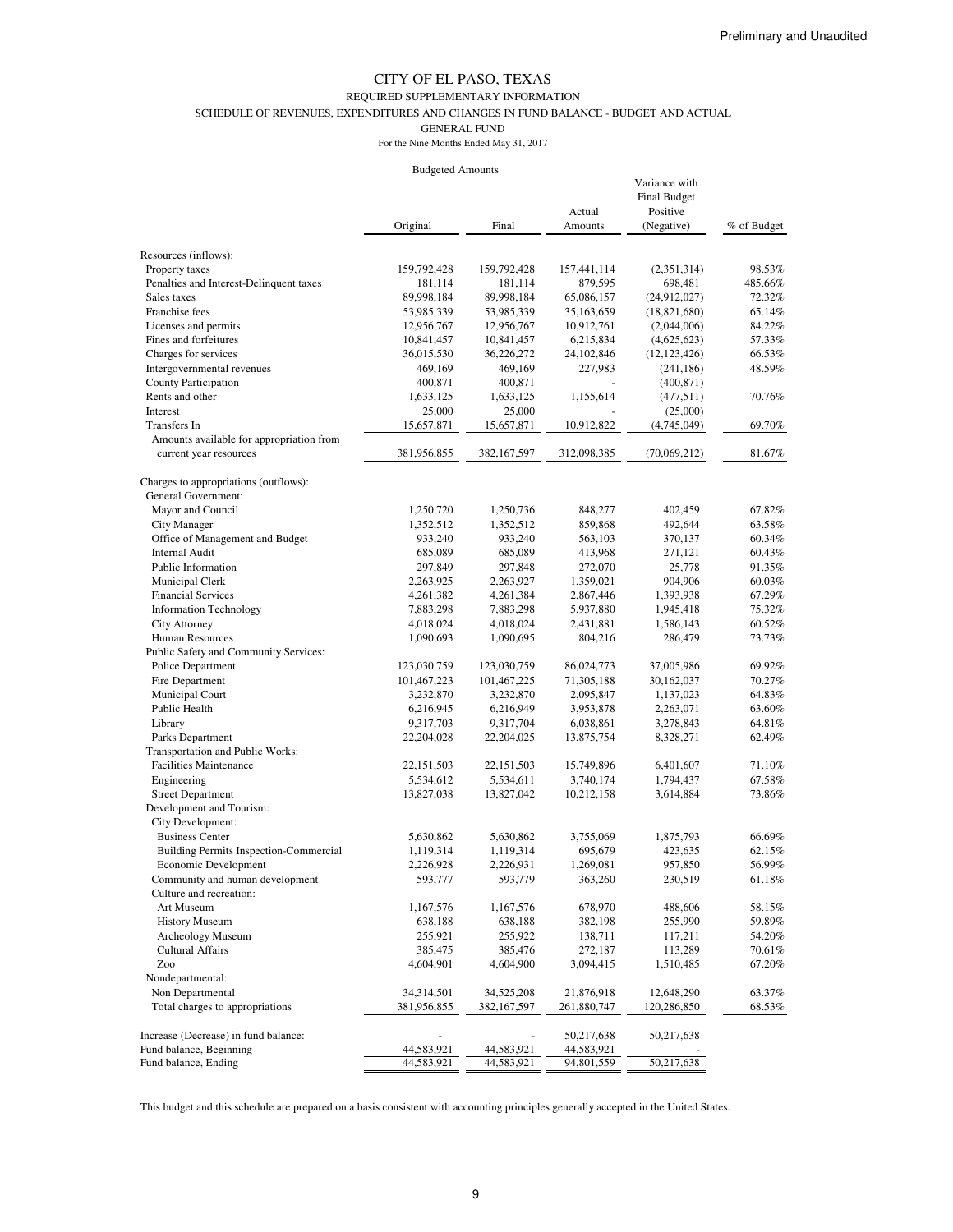#### REQUIRED SUPPLEMENTARY INFORMATION

SCHEDULE OF REVENUES, EXPENDITURES AND CHANGES IN FUND BALANCE - BUDGET AND ACTUAL

GENERAL FUND

For the Nine Months Ended May 31, 2017

|                                                                    | <b>Budgeted Amounts</b> |                        |                      |                                                                |                  |
|--------------------------------------------------------------------|-------------------------|------------------------|----------------------|----------------------------------------------------------------|------------------|
|                                                                    | Original                | Final                  | Actual<br>Amounts    | Variance with<br><b>Final Budget</b><br>Positive<br>(Negative) | % of Budget      |
|                                                                    |                         |                        |                      |                                                                |                  |
| Resources (inflows):                                               |                         |                        |                      |                                                                |                  |
| Property taxes                                                     | 159,792,428             | 159,792,428            | 157,441,114          | (2,351,314)                                                    | 98.53%           |
| Penalties and Interest-Delinquent taxes                            | 181,114                 | 181,114                | 879,595              | 698,481                                                        | 485.66%          |
| Sales taxes                                                        | 89,998,184              | 89,998,184             | 65,086,157           | (24,912,027)                                                   | 72.32%           |
| Franchise fees                                                     | 53,985,339              | 53,985,339             | 35,163,659           | (18, 821, 680)                                                 | 65.14%           |
| Licenses and permits                                               | 12,956,767              | 12,956,767             | 10,912,761           | (2,044,006)                                                    | 84.22%           |
| Fines and forfeitures                                              | 10,841,457              | 10,841,457             | 6,215,834            | (4,625,623)                                                    | 57.33%           |
| Charges for services                                               | 36,015,530              | 36,226,272             | 24,102,846           | (12, 123, 426)                                                 | 66.53%           |
| Intergovernmental revenues                                         | 469,169                 | 469,169                | 227,983              | (241, 186)                                                     | 48.59%           |
| County Participation                                               | 400,871                 | 400,871                |                      | (400, 871)                                                     |                  |
| Rents and other                                                    | 1,633,125               | 1,633,125              | 1,155,614            | (477,511)                                                      | 70.76%           |
| Interest                                                           | 25,000                  | 25,000                 |                      | (25,000)                                                       |                  |
| Transfers In                                                       | 15,657,871              | 15,657,871             | 10,912,822           | (4,745,049)                                                    | 69.70%           |
| Amounts available for appropriation from<br>current year resources | 381,956,855             | 382, 167, 597          | 312,098,385          | (70,069,212)                                                   | 81.67%           |
| Charges to appropriations (outflows):                              |                         |                        |                      |                                                                |                  |
| General Government:                                                |                         |                        |                      |                                                                |                  |
| Mayor and Council                                                  | 1,250,720               | 1,250,736              | 848,277              | 402,459                                                        | 67.82%           |
| City Manager                                                       | 1,352,512               | 1,352,512              | 859,868              | 492,644                                                        | 63.58%           |
| Office of Management and Budget                                    | 933,240                 | 933,240                | 563,103              | 370,137                                                        | 60.34%           |
| Internal Audit                                                     | 685,089                 | 685,089                | 413,968              | 271,121                                                        | 60.43%           |
| Public Information                                                 | 297,849                 | 297,848                | 272,070              | 25,778                                                         | 91.35%           |
| Municipal Clerk                                                    | 2,263,925               | 2,263,927              | 1,359,021            | 904,906                                                        | 60.03%           |
| <b>Financial Services</b>                                          | 4,261,382               | 4,261,384              | 2,867,446            | 1,393,938                                                      | 67.29%           |
| <b>Information Technology</b>                                      | 7,883,298               | 7,883,298              | 5,937,880            | 1,945,418                                                      | 75.32%           |
| City Attorney                                                      | 4,018,024               | 4,018,024              | 2,431,881            | 1,586,143                                                      | 60.52%           |
| Human Resources                                                    | 1,090,693               | 1,090,695              | 804,216              | 286,479                                                        | 73.73%           |
| Public Safety and Community Services:                              |                         |                        |                      |                                                                |                  |
| Police Department                                                  | 123,030,759             | 123,030,759            | 86,024,773           | 37,005,986                                                     | 69.92%           |
| Fire Department                                                    | 101,467,223             | 101,467,225            | 71,305,188           | 30,162,037                                                     | 70.27%           |
| Municipal Court                                                    | 3,232,870               | 3,232,870              | 2,095,847            | 1,137,023                                                      | 64.83%           |
| Public Health                                                      | 6,216,945               | 6,216,949              | 3,953,878            | 2,263,071                                                      | 63.60%           |
| Library                                                            | 9,317,703               | 9,317,704              | 6,038,861            | 3,278,843                                                      | 64.81%           |
| Parks Department                                                   | 22,204,028              | 22,204,025             | 13,875,754           | 8,328,271                                                      | 62.49%           |
| Transportation and Public Works:                                   |                         |                        |                      |                                                                |                  |
| <b>Facilities Maintenance</b>                                      | 22, 151, 503            | 22, 151, 503           | 15,749,896           | 6,401,607                                                      | 71.10%           |
| Engineering                                                        | 5,534,612               | 5,534,611              | 3,740,174            | 1,794,437                                                      | 67.58%           |
| <b>Street Department</b>                                           | 13,827,038              | 13,827,042             | 10,212,158           | 3,614,884                                                      | 73.86%           |
| Development and Tourism:                                           |                         |                        |                      |                                                                |                  |
| City Development:<br><b>Business Center</b>                        |                         |                        |                      |                                                                |                  |
| Building Permits Inspection-Commercial                             | 5,630,862<br>1,119,314  | 5,630,862<br>1,119,314 | 3,755,069<br>695,679 | 1,875,793<br>423,635                                           | 66.69%<br>62.15% |
| Economic Development                                               | 2,226,928               | 2,226,931              | 1,269,081            |                                                                | 56.99%           |
| Community and human development                                    | 593,777                 | 593,779                | 363,260              | 957,850<br>230,519                                             | 61.18%           |
| Culture and recreation:                                            |                         |                        |                      |                                                                |                  |
| Art Museum                                                         | 1,167,576               | 1,167,576              | 678,970              | 488,606                                                        | 58.15%           |
| <b>History Museum</b>                                              | 638,188                 | 638,188                | 382,198              | 255,990                                                        | 59.89%           |
| Archeology Museum                                                  | 255,921                 | 255,922                | 138,711              | 117,211                                                        | 54.20%           |
| <b>Cultural Affairs</b>                                            | 385,475                 | 385,476                | 272,187              | 113,289                                                        | 70.61%           |
| Zoo                                                                | 4,604,901               | 4,604,900              | 3,094,415            | 1,510,485                                                      | 67.20%           |
| Nondepartmental:                                                   |                         |                        |                      |                                                                |                  |
| Non Departmental                                                   | 34,314,501              | 34,525,208             | 21,876,918           | 12,648,290                                                     | 63.37%           |
| Total charges to appropriations                                    | 381,956,855             | 382, 167, 597          | 261,880,747          | 120,286,850                                                    | 68.53%           |
|                                                                    |                         |                        |                      |                                                                |                  |
| Increase (Decrease) in fund balance:                               |                         |                        | 50,217,638           | 50,217,638                                                     |                  |
| Fund balance, Beginning                                            | 44,583,921              | 44,583,921             | 44,583,921           |                                                                |                  |
| Fund balance, Ending                                               | 44,583,921              | 44,583,921             | 94,801,559           | 50,217,638                                                     |                  |

This budget and this schedule are prepared on a basis consistent with accounting principles generally accepted in the United States.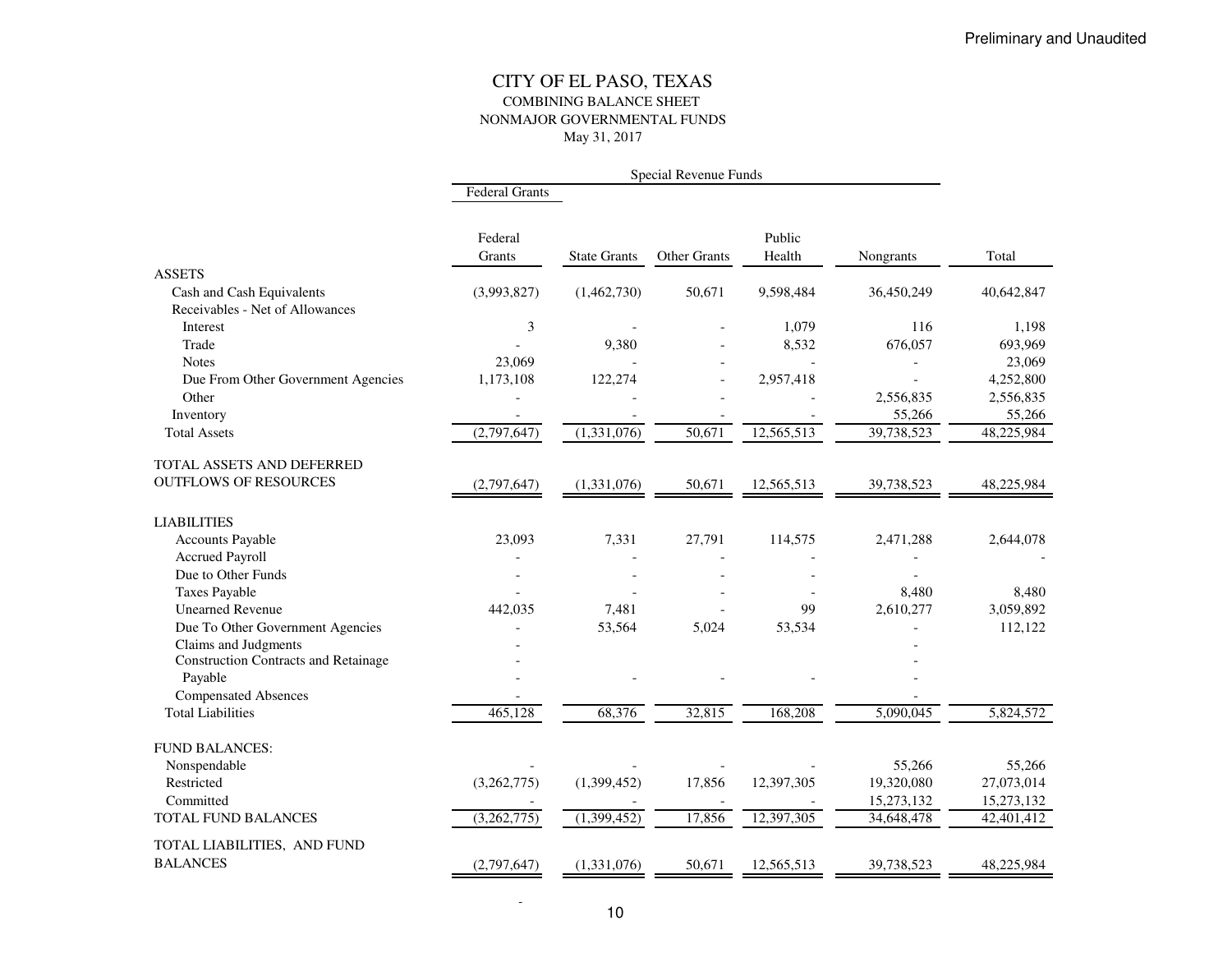#### CITY OF EL PASO, TEXAS COMBINING BALANCE SHEET NONMAJOR GOVERNMENTAL FUNDSMay 31, 2017

|                                             |                       |                     | Special Revenue Funds |                  |            |            |
|---------------------------------------------|-----------------------|---------------------|-----------------------|------------------|------------|------------|
|                                             | <b>Federal Grants</b> |                     |                       |                  |            |            |
|                                             | Federal<br>Grants     | <b>State Grants</b> | <b>Other Grants</b>   | Public<br>Health | Nongrants  | Total      |
| <b>ASSETS</b>                               |                       |                     |                       |                  |            |            |
| Cash and Cash Equivalents                   | (3,993,827)           | (1,462,730)         | 50,671                | 9,598,484        | 36,450,249 | 40,642,847 |
| Receivables - Net of Allowances             |                       |                     |                       |                  |            |            |
| Interest                                    | 3                     |                     |                       | 1,079            | 116        | 1,198      |
| Trade                                       |                       | 9,380               |                       | 8,532            | 676,057    | 693,969    |
| <b>Notes</b>                                | 23,069                |                     |                       |                  |            | 23,069     |
| Due From Other Government Agencies          | 1,173,108             | 122,274             |                       | 2,957,418        |            | 4,252,800  |
| Other                                       |                       |                     |                       |                  | 2,556,835  | 2,556,835  |
| Inventory                                   |                       |                     |                       |                  | 55,266     | 55,266     |
| <b>Total Assets</b>                         | (2,797,647)           | (1,331,076)         | 50,671                | 12,565,513       | 39,738,523 | 48,225,984 |
| TOTAL ASSETS AND DEFERRED                   |                       |                     |                       |                  |            |            |
| <b>OUTFLOWS OF RESOURCES</b>                | (2,797,647)           | (1,331,076)         | 50,671                | 12,565,513       | 39,738,523 | 48,225,984 |
| <b>LIABILITIES</b>                          |                       |                     |                       |                  |            |            |
| <b>Accounts Payable</b>                     | 23,093                | 7,331               | 27,791                | 114,575          | 2,471,288  | 2,644,078  |
| <b>Accrued Payroll</b>                      |                       |                     |                       |                  |            |            |
| Due to Other Funds                          |                       |                     |                       |                  |            |            |
| <b>Taxes Payable</b>                        |                       |                     |                       |                  | 8,480      | 8,480      |
| <b>Unearned Revenue</b>                     | 442.035               | 7,481               |                       | 99               | 2,610,277  | 3,059,892  |
| Due To Other Government Agencies            |                       | 53,564              | 5,024                 | 53,534           |            | 112,122    |
| Claims and Judgments                        |                       |                     |                       |                  |            |            |
| <b>Construction Contracts and Retainage</b> |                       |                     |                       |                  |            |            |
| Payable                                     |                       |                     |                       |                  |            |            |
| <b>Compensated Absences</b>                 |                       |                     |                       |                  |            |            |
| <b>Total Liabilities</b>                    | 465,128               | 68,376              | 32,815                | 168,208          | 5,090,045  | 5,824,572  |
| <b>FUND BALANCES:</b>                       |                       |                     |                       |                  |            |            |
| Nonspendable                                |                       |                     |                       |                  | 55,266     | 55,266     |
| Restricted                                  | (3,262,775)           | (1,399,452)         | 17,856                | 12,397,305       | 19,320,080 | 27,073,014 |
| Committed                                   |                       |                     |                       |                  | 15,273,132 | 15,273,132 |
| TOTAL FUND BALANCES                         | (3,262,775)           | (1,399,452)         | 17,856                | 12,397,305       | 34,648,478 | 42,401,412 |
| TOTAL LIABILITIES, AND FUND                 |                       |                     |                       |                  |            |            |
| <b>BALANCES</b>                             | (2,797,647)           | (1,331,076)         | 50,671                | 12,565,513       | 39,738,523 | 48,225,984 |
|                                             |                       |                     |                       |                  |            |            |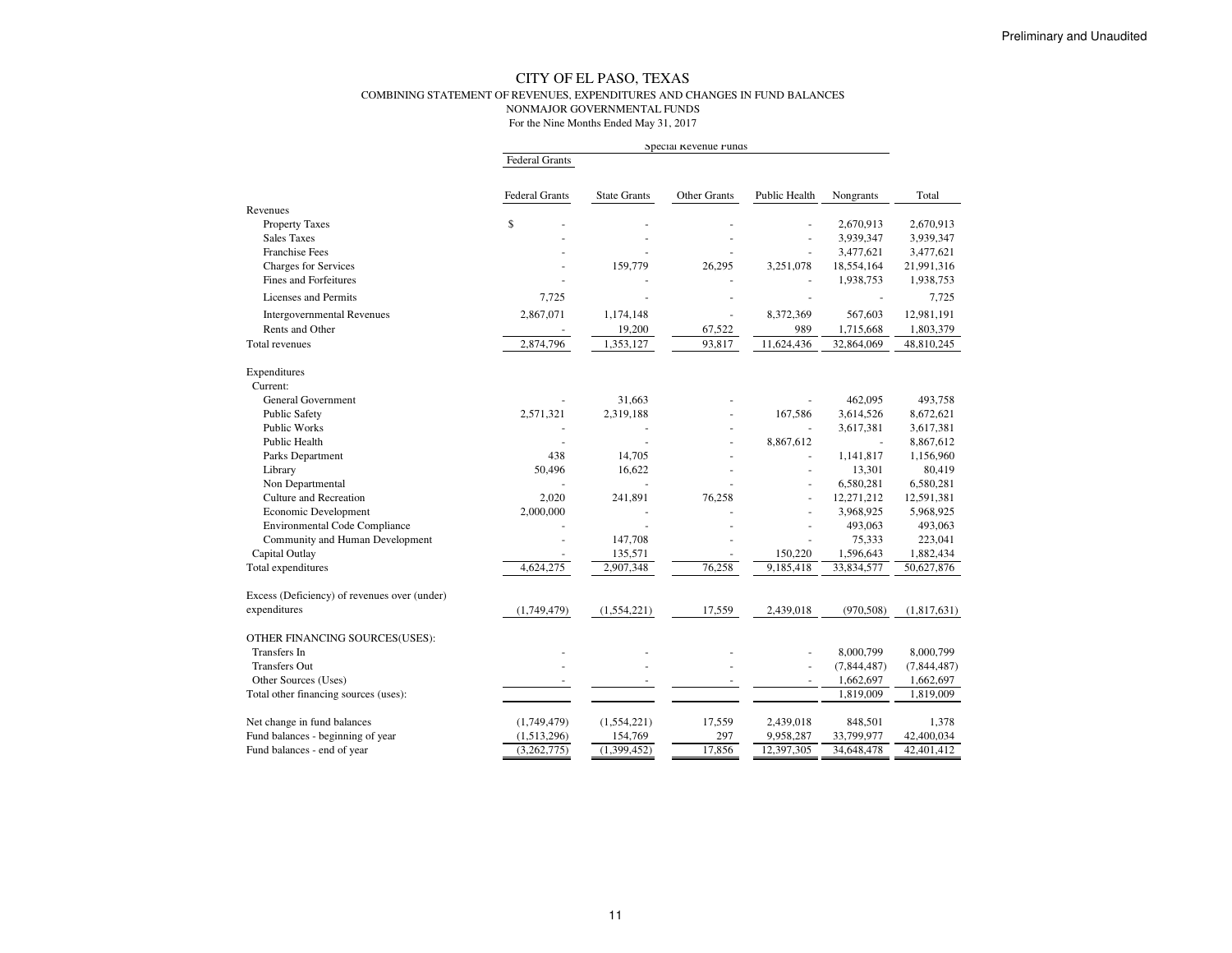#### CITY OF EL PASO, TEXAS COMBINING STATEMENT OF REVENUES, EXPENDITURES AND CHANGES IN FUND BALANCESNONMAJOR GOVERNMENTAL FUNDSFor the Nine Months Ended May 31, 2017

|                                              |                |                     | Special Revenue Funds |               |                         |                         |
|----------------------------------------------|----------------|---------------------|-----------------------|---------------|-------------------------|-------------------------|
|                                              | Federal Grants |                     |                       |               |                         |                         |
|                                              | Federal Grants | <b>State Grants</b> | Other Grants          | Public Health | Nongrants               | Total                   |
| Revenues                                     |                |                     |                       |               |                         |                         |
| <b>Property Taxes</b><br><b>Sales Taxes</b>  | \$             |                     |                       |               | 2,670,913               | 2,670,913               |
| <b>Franchise Fees</b>                        | ٠              |                     |                       | ÷.            | 3,939,347               | 3,939,347               |
| Charges for Services                         |                | 159,779             | 26,295                | 3,251,078     | 3,477,621<br>18,554,164 | 3,477,621<br>21,991,316 |
| Fines and Forfeitures                        |                |                     |                       |               | 1,938,753               | 1,938,753               |
|                                              |                |                     |                       |               |                         |                         |
| Licenses and Permits                         | 7,725          |                     |                       |               |                         | 7,725                   |
| <b>Intergovernmental Revenues</b>            | 2,867,071      | 1,174,148           |                       | 8,372,369     | 567,603                 | 12,981,191              |
| Rents and Other                              |                | 19,200              | 67,522                | 989           | 1,715,668               | 1,803,379               |
| Total revenues                               | 2,874,796      | 1,353,127           | 93,817                | 11,624,436    | 32,864,069              | 48,810,245              |
| Expenditures                                 |                |                     |                       |               |                         |                         |
| Current:                                     |                |                     |                       |               |                         |                         |
| <b>General Government</b>                    |                | 31,663              |                       |               | 462,095                 | 493,758                 |
| <b>Public Safety</b>                         | 2,571,321      | 2,319,188           |                       | 167,586       | 3,614,526               | 8,672,621               |
| <b>Public Works</b>                          |                |                     |                       | $\sim$        | 3,617,381               | 3,617,381               |
| Public Health                                |                |                     |                       | 8,867,612     | L.                      | 8,867,612               |
| Parks Department                             | 438            | 14,705              |                       | ÷.            | 1,141,817               | 1,156,960               |
| Library                                      | 50,496         | 16,622              |                       | ÷.            | 13,301                  | 80,419                  |
| Non Departmental                             |                |                     |                       | ÷.            | 6,580,281               | 6,580,281               |
| Culture and Recreation                       | 2,020          | 241,891             | 76,258                |               | 12,271,212              | 12,591,381              |
| Economic Development                         | 2,000,000      |                     |                       |               | 3,968,925               | 5,968,925               |
| <b>Environmental Code Compliance</b>         |                |                     |                       |               | 493,063                 | 493,063                 |
| Community and Human Development              |                | 147,708             |                       |               | 75,333                  | 223,041                 |
| Capital Outlay                               |                | 135,571             |                       | 150,220       | 1,596,643               | 1,882,434               |
| Total expenditures                           | 4,624,275      | 2,907,348           | 76,258                | 9,185,418     | 33,834,577              | 50,627,876              |
| Excess (Deficiency) of revenues over (under) |                |                     |                       |               |                         |                         |
| expenditures                                 | (1,749,479)    | (1, 554, 221)       | 17,559                | 2,439,018     | (970, 508)              | (1,817,631)             |
| OTHER FINANCING SOURCES(USES):               |                |                     |                       |               |                         |                         |
| <b>Transfers</b> In                          |                |                     |                       |               | 8,000,799               | 8,000,799               |
| <b>Transfers Out</b>                         |                |                     |                       | ÷.            | (7, 844, 487)           | (7, 844, 487)           |
| Other Sources (Uses)                         |                |                     |                       | ÷,            | 1,662,697               | 1,662,697               |
| Total other financing sources (uses):        |                |                     |                       |               | 1,819,009               | 1,819,009               |
| Net change in fund balances                  | (1,749,479)    | (1, 554, 221)       | 17,559                | 2,439,018     | 848,501                 | 1,378                   |
| Fund balances - beginning of year            | (1,513,296)    | 154,769             | 297                   | 9,958,287     | 33,799,977              | 42,400,034              |
| Fund balances - end of year                  | (3,262,775)    | (1,399,452)         | 17,856                | 12,397,305    | 34,648,478              | 42,401,412              |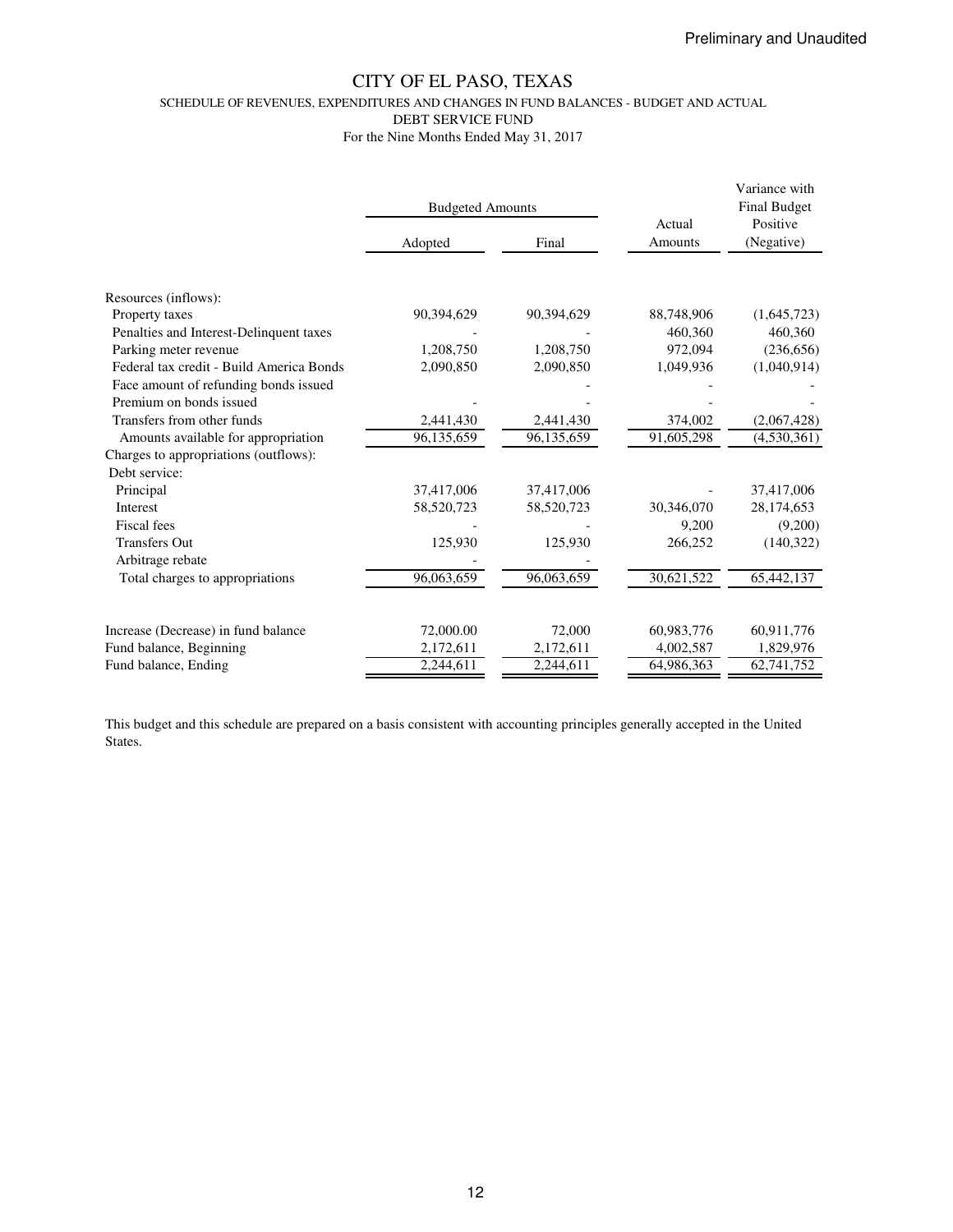SCHEDULE OF REVENUES, EXPENDITURES AND CHANGES IN FUND BALANCES - BUDGET AND ACTUAL

DEBT SERVICE FUND

For the Nine Months Ended May 31, 2017

|                                          | <b>Budgeted Amounts</b> |            | Actual     | Variance with<br><b>Final Budget</b><br>Positive |
|------------------------------------------|-------------------------|------------|------------|--------------------------------------------------|
|                                          | Adopted                 | Final      | Amounts    | (Negative)                                       |
|                                          |                         |            |            |                                                  |
| Resources (inflows):                     |                         |            |            |                                                  |
| Property taxes                           | 90,394,629              | 90,394,629 | 88,748,906 | (1,645,723)                                      |
| Penalties and Interest-Delinquent taxes  |                         |            | 460,360    | 460,360                                          |
| Parking meter revenue                    | 1,208,750               | 1,208,750  | 972,094    | (236, 656)                                       |
| Federal tax credit - Build America Bonds | 2,090,850               | 2,090,850  | 1,049,936  | (1,040,914)                                      |
| Face amount of refunding bonds issued    |                         |            |            |                                                  |
| Premium on bonds issued                  |                         |            |            |                                                  |
| Transfers from other funds               | 2,441,430               | 2,441,430  | 374,002    | (2,067,428)                                      |
| Amounts available for appropriation      | 96,135,659              | 96,135,659 | 91,605,298 | (4,530,361)                                      |
| Charges to appropriations (outflows):    |                         |            |            |                                                  |
| Debt service:                            |                         |            |            |                                                  |
| Principal                                | 37,417,006              | 37,417,006 |            | 37,417,006                                       |
| <b>Interest</b>                          | 58,520,723              | 58,520,723 | 30,346,070 | 28,174,653                                       |
| Fiscal fees                              |                         |            | 9,200      | (9,200)                                          |
| <b>Transfers Out</b>                     | 125,930                 | 125,930    | 266,252    | (140,322)                                        |
| Arbitrage rebate                         |                         |            |            |                                                  |
| Total charges to appropriations          | 96,063,659              | 96,063,659 | 30,621,522 | 65,442,137                                       |
|                                          |                         |            |            |                                                  |
| Increase (Decrease) in fund balance      | 72,000.00               | 72,000     | 60,983,776 | 60,911,776                                       |
| Fund balance, Beginning                  | 2,172,611               | 2,172,611  | 4,002,587  | 1,829,976                                        |
| Fund balance, Ending                     | 2,244,611               | 2,244,611  | 64,986,363 | 62,741,752                                       |

This budget and this schedule are prepared on a basis consistent with accounting principles generally accepted in the United States.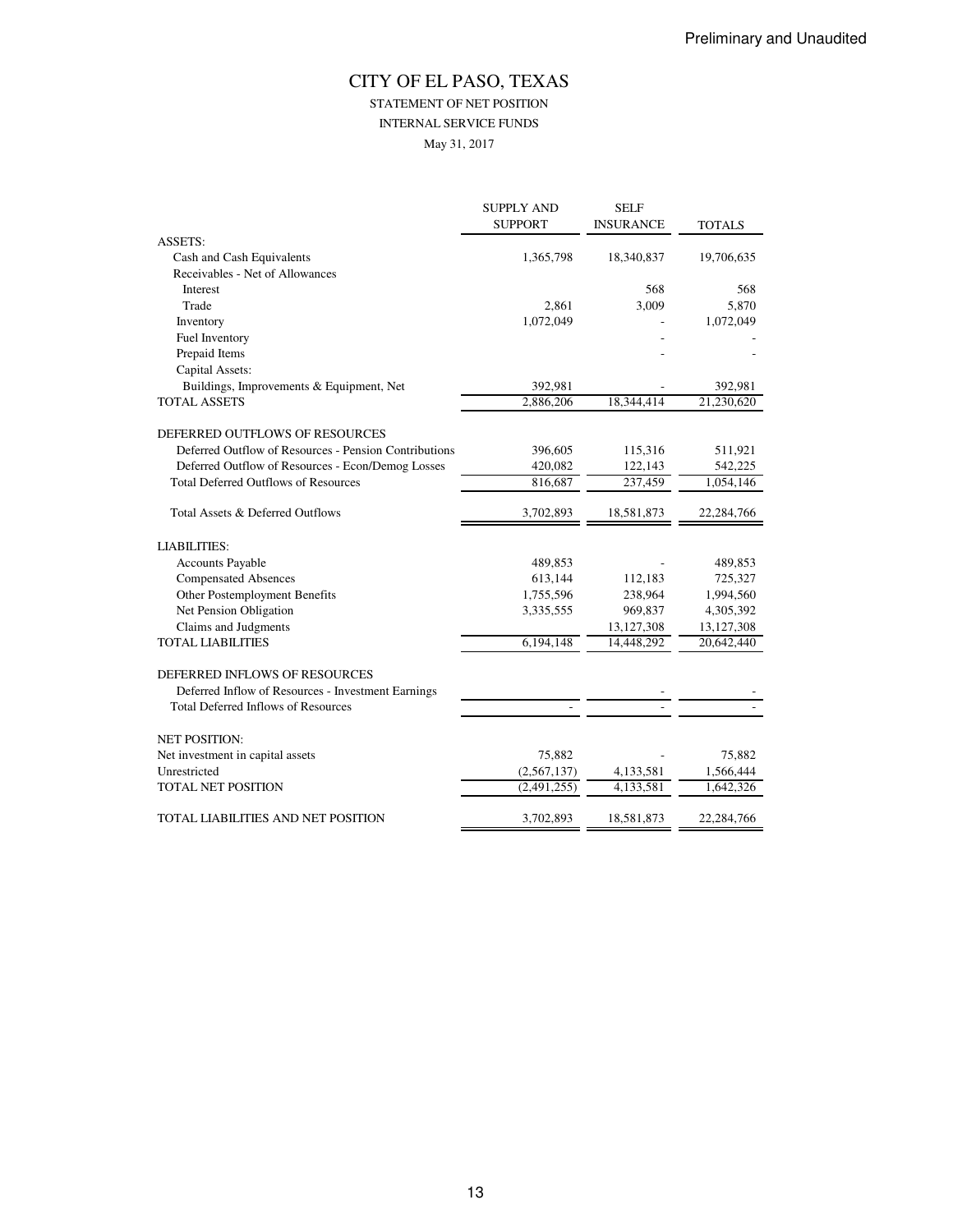## STATEMENT OF NET POSITION

INTERNAL SERVICE FUNDS

May 31, 2017

| <b>SUPPORT</b><br><b>INSURANCE</b><br><b>ASSETS:</b><br>Cash and Cash Equivalents<br>1,365,798<br>18,340,837<br>Receivables - Net of Allowances<br>568<br>Interest<br>3,009<br>Trade<br>2,861<br>1,072,049<br>Inventory | <b>TOTALS</b><br>19,706,635<br>568<br>5,870<br>1,072,049 |
|-------------------------------------------------------------------------------------------------------------------------------------------------------------------------------------------------------------------------|----------------------------------------------------------|
|                                                                                                                                                                                                                         |                                                          |
|                                                                                                                                                                                                                         |                                                          |
|                                                                                                                                                                                                                         |                                                          |
|                                                                                                                                                                                                                         |                                                          |
|                                                                                                                                                                                                                         |                                                          |
|                                                                                                                                                                                                                         |                                                          |
|                                                                                                                                                                                                                         |                                                          |
| Fuel Inventory                                                                                                                                                                                                          |                                                          |
| Prepaid Items                                                                                                                                                                                                           |                                                          |
| Capital Assets:                                                                                                                                                                                                         |                                                          |
| Buildings, Improvements & Equipment, Net<br>392,981                                                                                                                                                                     | 392,981                                                  |
| TOTAL ASSETS<br>2,886,206<br>18,344,414                                                                                                                                                                                 | 21,230,620                                               |
| DEFERRED OUTFLOWS OF RESOURCES                                                                                                                                                                                          |                                                          |
| Deferred Outflow of Resources - Pension Contributions<br>396,605<br>115,316                                                                                                                                             | 511,921                                                  |
| Deferred Outflow of Resources - Econ/Demog Losses<br>420,082<br>122,143                                                                                                                                                 | 542,225                                                  |
| <b>Total Deferred Outflows of Resources</b><br>237,459<br>816,687                                                                                                                                                       | 1,054,146                                                |
| Total Assets & Deferred Outflows<br>3,702,893<br>18,581,873                                                                                                                                                             | 22,284,766                                               |
| <b>LIABILITIES:</b>                                                                                                                                                                                                     |                                                          |
| <b>Accounts Payable</b><br>489,853                                                                                                                                                                                      | 489,853                                                  |
| <b>Compensated Absences</b><br>613,144<br>112,183                                                                                                                                                                       | 725,327                                                  |
| Other Postemployment Benefits<br>238,964<br>1,755,596                                                                                                                                                                   | 1,994,560                                                |
| Net Pension Obligation<br>3,335,555<br>969,837                                                                                                                                                                          | 4,305,392                                                |
| Claims and Judgments<br>13,127,308                                                                                                                                                                                      | 13,127,308                                               |
| <b>TOTAL LIABILITIES</b><br>6,194,148<br>14,448,292                                                                                                                                                                     | 20,642,440                                               |
| DEFERRED INFLOWS OF RESOURCES                                                                                                                                                                                           |                                                          |
| Deferred Inflow of Resources - Investment Earnings                                                                                                                                                                      |                                                          |
| <b>Total Deferred Inflows of Resources</b>                                                                                                                                                                              |                                                          |
|                                                                                                                                                                                                                         |                                                          |
| <b>NET POSITION:</b>                                                                                                                                                                                                    |                                                          |
| Net investment in capital assets<br>75,882                                                                                                                                                                              | 75,882                                                   |
| Unrestricted<br>(2,567,137)<br>4,133,581                                                                                                                                                                                | 1,566,444                                                |
| <b>TOTAL NET POSITION</b><br>(2,491,255)<br>4,133,581                                                                                                                                                                   | 1,642,326                                                |
| TOTAL LIABILITIES AND NET POSITION<br>3,702,893<br>18,581,873                                                                                                                                                           | 22,284,766                                               |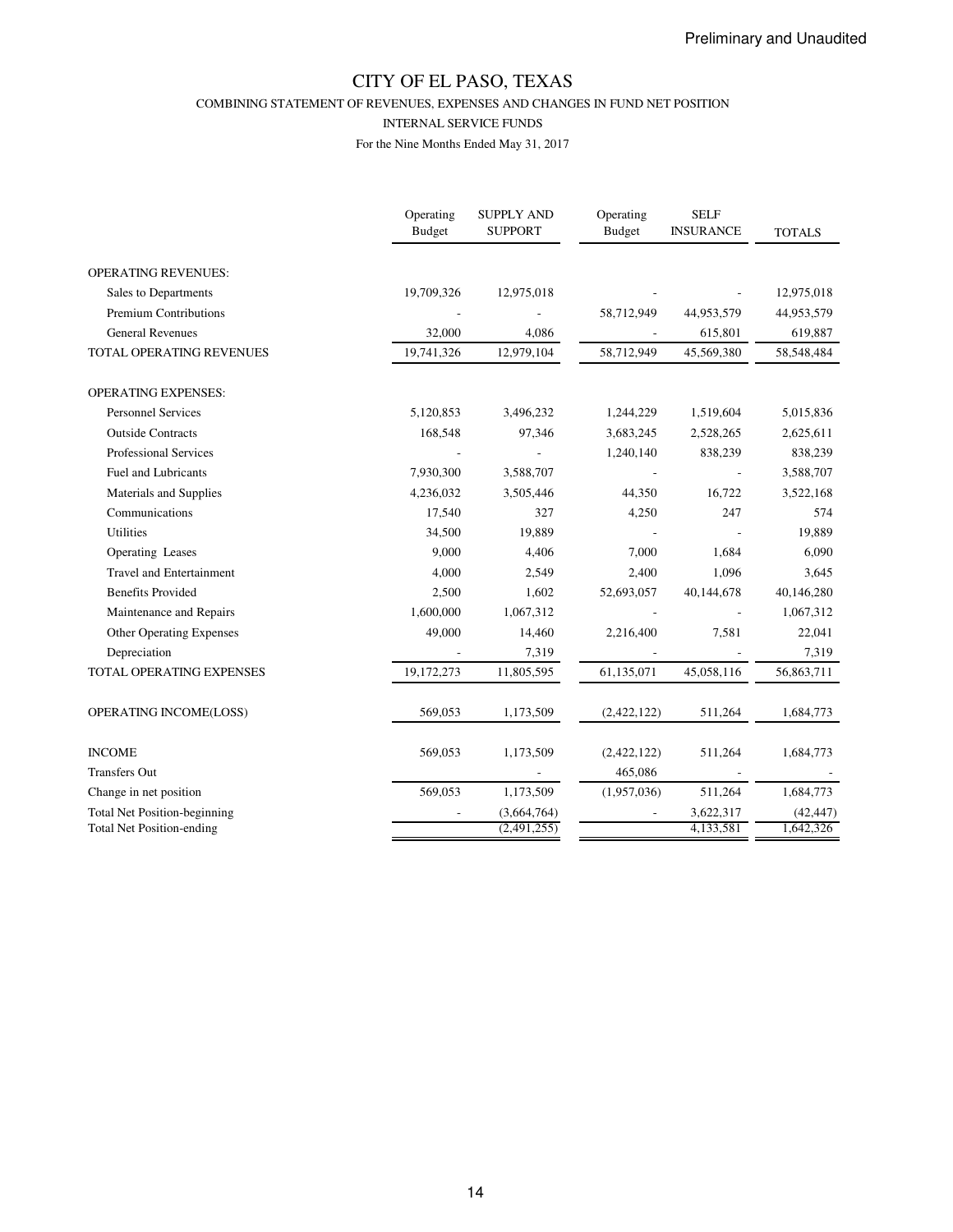COMBINING STATEMENT OF REVENUES, EXPENSES AND CHANGES IN FUND NET POSITION

#### INTERNAL SERVICE FUNDS

|                                     | Operating<br>Budget | <b>SUPPLY AND</b><br><b>SUPPORT</b> | Operating<br>Budget | <b>SELF</b><br><b>INSURANCE</b> | <b>TOTALS</b> |
|-------------------------------------|---------------------|-------------------------------------|---------------------|---------------------------------|---------------|
| <b>OPERATING REVENUES:</b>          |                     |                                     |                     |                                 |               |
| Sales to Departments                | 19,709,326          | 12,975,018                          |                     |                                 | 12,975,018    |
| <b>Premium Contributions</b>        |                     |                                     | 58,712,949          | 44,953,579                      | 44,953,579    |
| <b>General Revenues</b>             | 32,000              | 4,086                               |                     | 615,801                         | 619,887       |
| TOTAL OPERATING REVENUES            | 19,741,326          | 12,979,104                          | 58,712,949          | 45,569,380                      | 58, 548, 484  |
| <b>OPERATING EXPENSES:</b>          |                     |                                     |                     |                                 |               |
| <b>Personnel Services</b>           | 5,120,853           | 3,496,232                           | 1,244,229           | 1,519,604                       | 5,015,836     |
| <b>Outside Contracts</b>            | 168,548             | 97,346                              | 3,683,245           | 2,528,265                       | 2,625,611     |
| Professional Services               |                     |                                     | 1,240,140           | 838,239                         | 838,239       |
| Fuel and Lubricants                 | 7,930,300           | 3,588,707                           |                     |                                 | 3,588,707     |
| Materials and Supplies              | 4,236,032           | 3,505,446                           | 44,350              | 16,722                          | 3,522,168     |
| Communications                      | 17,540              | 327                                 | 4,250               | 247                             | 574           |
| <b>Utilities</b>                    | 34,500              | 19,889                              |                     |                                 | 19,889        |
| Operating Leases                    | 9,000               | 4,406                               | 7,000               | 1,684                           | 6,090         |
| <b>Travel and Entertainment</b>     | 4,000               | 2,549                               | 2,400               | 1,096                           | 3,645         |
| <b>Benefits Provided</b>            | 2,500               | 1,602                               | 52,693,057          | 40,144,678                      | 40,146,280    |
| Maintenance and Repairs             | 1,600,000           | 1,067,312                           |                     |                                 | 1,067,312     |
| <b>Other Operating Expenses</b>     | 49,000              | 14,460                              | 2,216,400           | 7,581                           | 22,041        |
| Depreciation                        |                     | 7,319                               |                     |                                 | 7,319         |
| TOTAL OPERATING EXPENSES            | 19,172,273          | 11,805,595                          | 61,135,071          | 45,058,116                      | 56,863,711    |
| OPERATING INCOME(LOSS)              | 569,053             | 1,173,509                           | (2,422,122)         | 511,264                         | 1,684,773     |
| <b>INCOME</b>                       | 569,053             | 1,173,509                           | (2,422,122)         | 511,264                         | 1,684,773     |
| <b>Transfers Out</b>                |                     |                                     | 465,086             |                                 |               |
| Change in net position              | 569,053             | 1,173,509                           | (1,957,036)         | 511,264                         | 1,684,773     |
| <b>Total Net Position-beginning</b> |                     | (3,664,764)                         |                     | 3,622,317                       | (42, 447)     |
| <b>Total Net Position-ending</b>    |                     | (2,491,255)                         |                     | 4,133,581                       | 1.642.326     |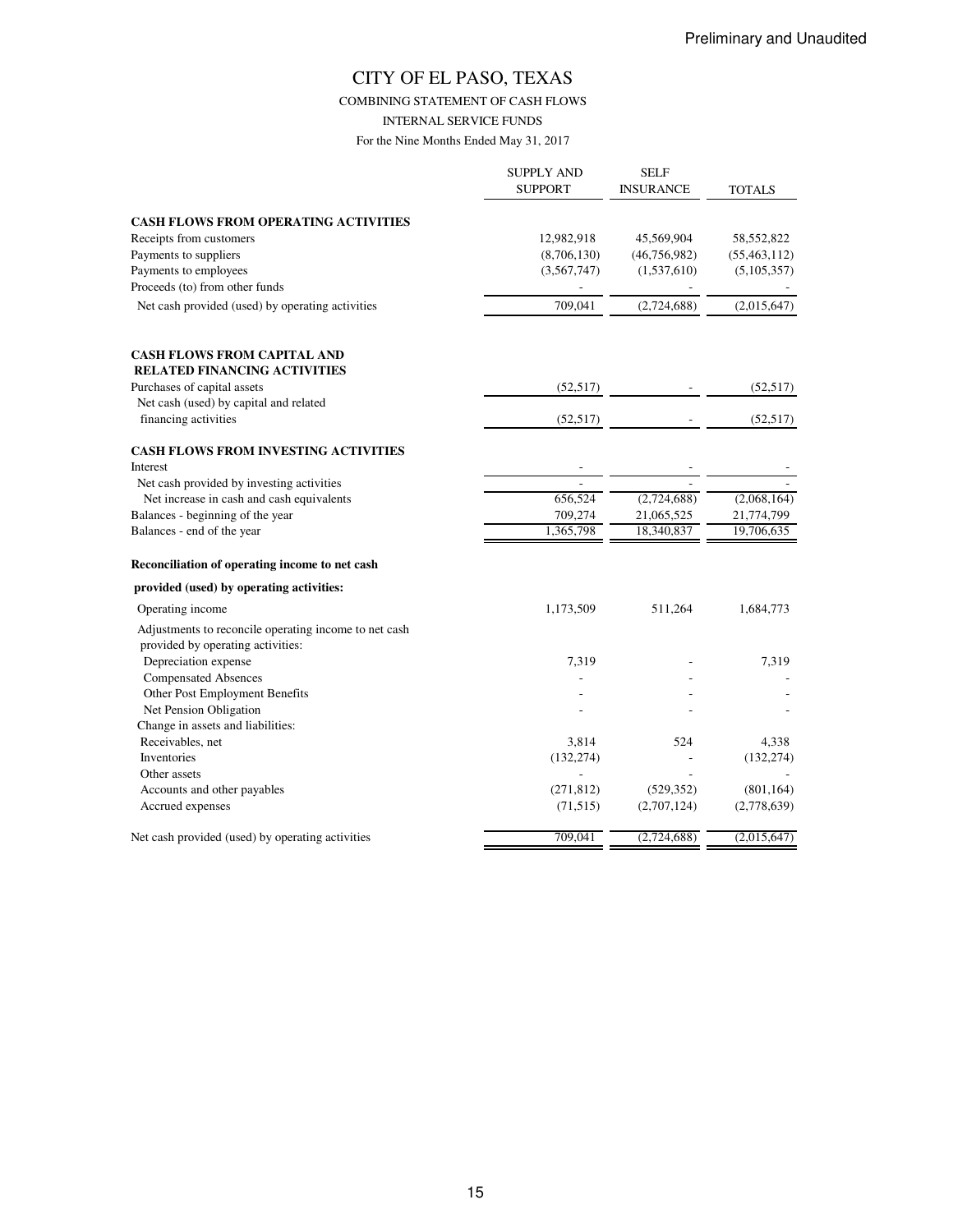COMBINING STATEMENT OF CASH FLOWS

INTERNAL SERVICE FUNDS

|                                                           | <b>SUPPLY AND</b><br><b>SUPPORT</b> | <b>SELF</b><br><b>INSURANCE</b> | TOTALS         |
|-----------------------------------------------------------|-------------------------------------|---------------------------------|----------------|
| <b>CASH FLOWS FROM OPERATING ACTIVITIES</b>               |                                     |                                 |                |
| Receipts from customers                                   | 12,982,918                          | 45,569,904                      | 58,552,822     |
| Payments to suppliers                                     | (8,706,130)                         | (46, 756, 982)                  | (55, 463, 112) |
| Payments to employees                                     | (3,567,747)                         | (1,537,610)                     | (5,105,357)    |
| Proceeds (to) from other funds                            |                                     |                                 |                |
| Net cash provided (used) by operating activities          | 709,041                             | (2,724,688)                     | (2,015,647)    |
| <b>CASH FLOWS FROM CAPITAL AND</b>                        |                                     |                                 |                |
| <b>RELATED FINANCING ACTIVITIES</b>                       |                                     |                                 |                |
| Purchases of capital assets                               | (52, 517)                           |                                 | (52, 517)      |
| Net cash (used) by capital and related                    |                                     |                                 |                |
| financing activities                                      | (52, 517)                           |                                 | (52, 517)      |
| <b>CASH FLOWS FROM INVESTING ACTIVITIES</b>               |                                     |                                 |                |
| Interest                                                  |                                     |                                 |                |
| Net cash provided by investing activities                 | ÷                                   |                                 |                |
| Net increase in cash and cash equivalents                 | 656,524                             | (2,724,688)                     | (2,068,164)    |
| Balances - beginning of the year                          | 709,274                             | 21,065,525                      | 21,774,799     |
| Balances - end of the year                                | 1,365,798                           | 18,340,837                      | 19,706,635     |
| Reconciliation of operating income to net cash            |                                     |                                 |                |
| provided (used) by operating activities:                  |                                     |                                 |                |
| Operating income                                          | 1,173,509                           | 511,264                         | 1,684,773      |
| Adjustments to reconcile operating income to net cash     |                                     |                                 |                |
| provided by operating activities:<br>Depreciation expense | 7,319                               |                                 | 7,319          |
| <b>Compensated Absences</b>                               |                                     |                                 |                |
| Other Post Employment Benefits                            |                                     |                                 |                |
| Net Pension Obligation                                    |                                     |                                 |                |
| Change in assets and liabilities:                         |                                     |                                 |                |
| Receivables, net                                          | 3,814                               | 524                             | 4,338          |
| Inventories                                               | (132, 274)                          |                                 | (132, 274)     |
| Other assets                                              |                                     |                                 |                |
| Accounts and other payables                               | (271, 812)                          | (529, 352)                      | (801, 164)     |
| Accrued expenses                                          | (71, 515)                           | (2,707,124)                     | (2,778,639)    |
| Net cash provided (used) by operating activities          | 709,041                             | (2,724,688)                     | (2,015,647)    |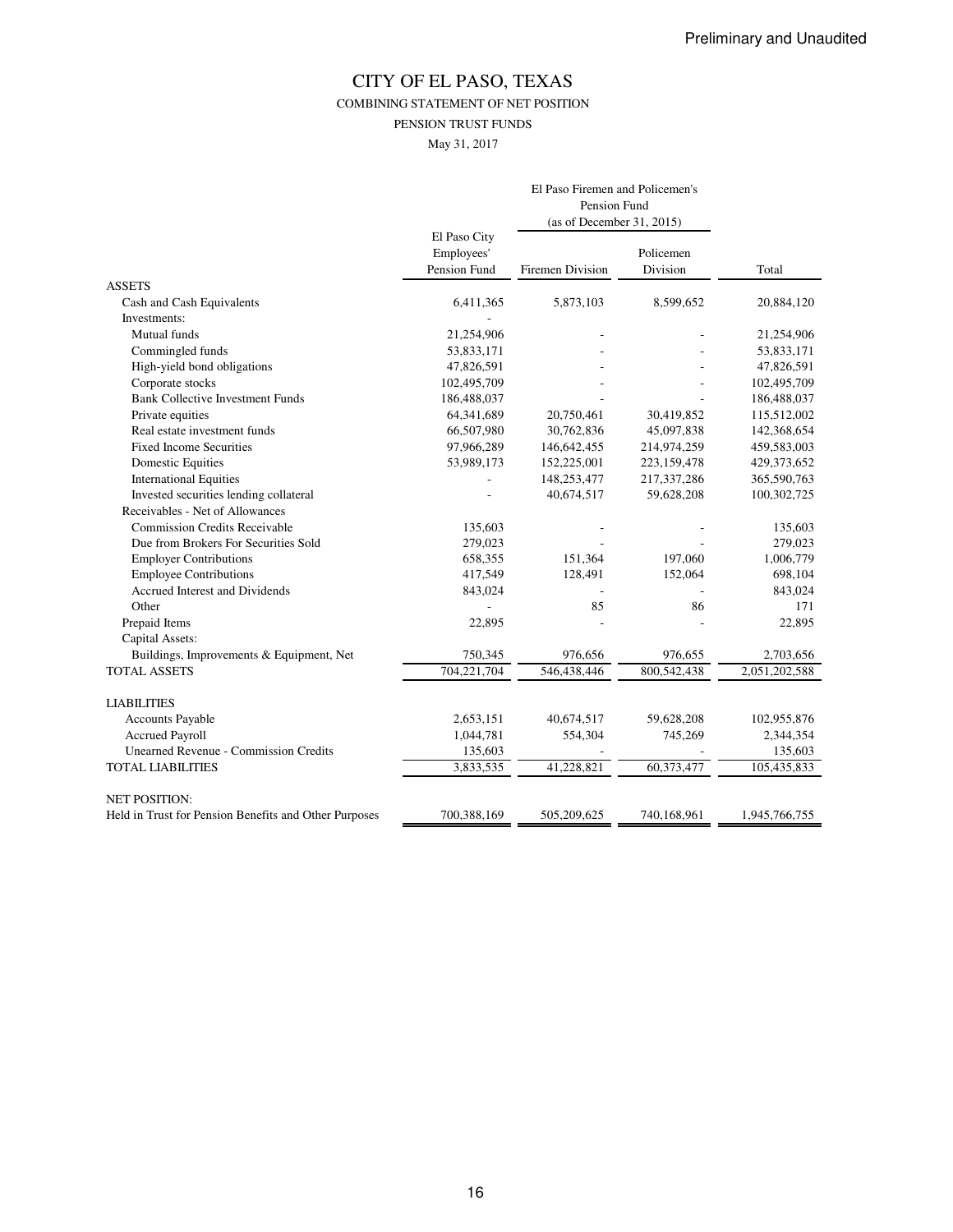COMBINING STATEMENT OF NET POSITION

PENSION TRUST FUNDS

May 31, 2017

|                                                       | El Paso Firemen and Policemen's |                           |             |               |  |
|-------------------------------------------------------|---------------------------------|---------------------------|-------------|---------------|--|
|                                                       | Pension Fund                    |                           |             |               |  |
|                                                       |                                 | (as of December 31, 2015) |             |               |  |
|                                                       | El Paso City<br>Employees'      |                           | Policemen   |               |  |
|                                                       | Pension Fund                    | Firemen Division          | Division    | Total         |  |
| <b>ASSETS</b>                                         |                                 |                           |             |               |  |
| Cash and Cash Equivalents                             | 6,411,365                       | 5,873,103                 | 8,599,652   | 20,884,120    |  |
| Investments:                                          |                                 |                           |             |               |  |
| Mutual funds                                          | 21,254,906                      |                           |             | 21,254,906    |  |
| Commingled funds                                      | 53,833,171                      |                           |             | 53,833,171    |  |
| High-yield bond obligations                           | 47,826,591                      |                           |             | 47,826,591    |  |
| Corporate stocks                                      | 102,495,709                     |                           |             | 102,495,709   |  |
| <b>Bank Collective Investment Funds</b>               | 186,488,037                     |                           |             | 186,488,037   |  |
| Private equities                                      | 64,341,689                      | 20,750,461                | 30,419,852  | 115,512,002   |  |
| Real estate investment funds                          | 66,507,980                      | 30,762,836                | 45,097,838  | 142,368,654   |  |
| <b>Fixed Income Securities</b>                        | 97,966,289                      | 146,642,455               | 214,974,259 | 459,583,003   |  |
| <b>Domestic Equities</b>                              | 53,989,173                      | 152,225,001               | 223,159,478 | 429,373,652   |  |
| <b>International Equities</b>                         |                                 | 148,253,477               | 217,337,286 | 365,590,763   |  |
| Invested securities lending collateral                |                                 | 40,674,517                | 59,628,208  | 100,302,725   |  |
| Receivables - Net of Allowances                       |                                 |                           |             |               |  |
| <b>Commission Credits Receivable</b>                  | 135,603                         |                           |             | 135,603       |  |
| Due from Brokers For Securities Sold                  | 279,023                         |                           |             | 279,023       |  |
| <b>Employer Contributions</b>                         | 658,355                         | 151,364                   | 197,060     | 1,006,779     |  |
| <b>Employee Contributions</b>                         | 417,549                         | 128,491                   | 152,064     | 698,104       |  |
| Accrued Interest and Dividends                        | 843,024                         |                           |             | 843,024       |  |
| Other                                                 |                                 | 85                        | 86          | 171           |  |
| Prepaid Items                                         | 22,895                          |                           |             | 22,895        |  |
| Capital Assets:                                       |                                 |                           |             |               |  |
| Buildings, Improvements & Equipment, Net              | 750,345                         | 976,656                   | 976,655     | 2,703,656     |  |
| <b>TOTAL ASSETS</b>                                   | 704,221,704                     | 546,438,446               | 800,542,438 | 2,051,202,588 |  |
| <b>LIABILITIES</b>                                    |                                 |                           |             |               |  |
| <b>Accounts Payable</b>                               | 2,653,151                       | 40,674,517                | 59,628,208  | 102,955,876   |  |
| <b>Accrued Payroll</b>                                | 1,044,781                       | 554,304                   | 745,269     | 2,344,354     |  |
| <b>Unearned Revenue - Commission Credits</b>          | 135,603                         |                           |             | 135,603       |  |
| <b>TOTAL LIABILITIES</b>                              | 3,833,535                       | 41,228,821                | 60,373,477  | 105,435,833   |  |
| <b>NET POSITION:</b>                                  |                                 |                           |             |               |  |
| Held in Trust for Pension Benefits and Other Purposes | 700,388,169                     | 505,209,625               | 740,168,961 | 1,945,766,755 |  |